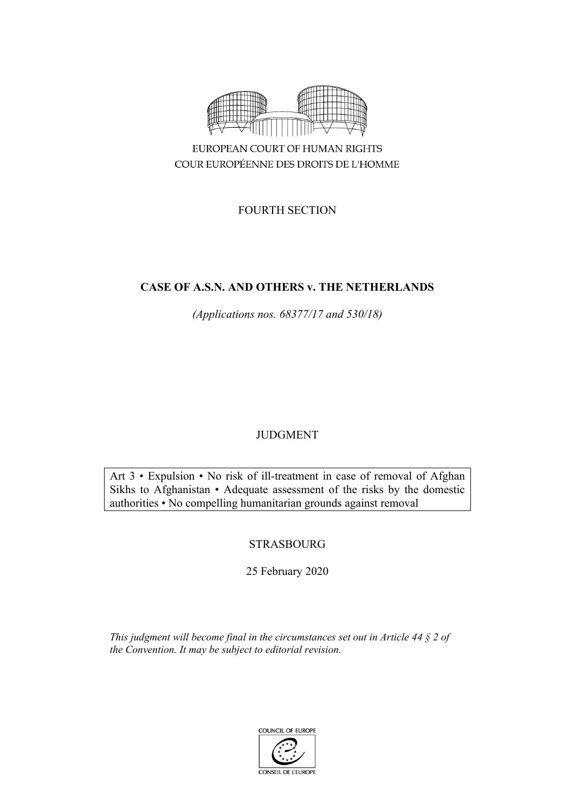

COUR EUROPÉENNE DES DROITS DE L'HOMME

FOURTH SECTION

# **CASE OF A.S.N. AND OTHERS v. THE NETHERLANDS**

*(Applications nos. 68377/17 and 530/18)*

# JUDGMENT

Art 3 • Expulsion • No risk of ill-treatment in case of removal of Afghan Sikhs to Afghanistan • Adequate assessment of the risks by the domestic authorities • No compelling humanitarian grounds against removal

# STRASBOURG

25 February 2020

*This judgment will become final in the circumstances set out in Article 44 § 2 of the Convention. It may be subject to editorial revision.*

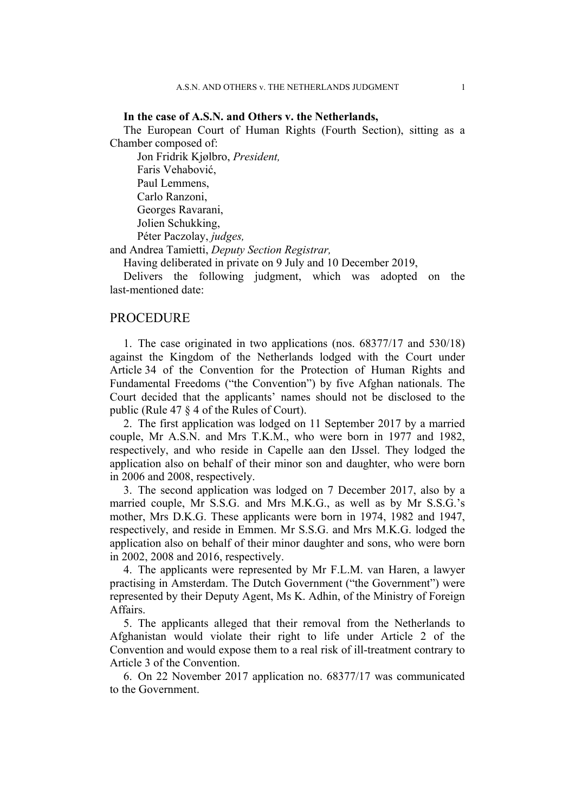### **In the case of A.S.N. and Others v. the Netherlands,**

The European Court of Human Rights (Fourth Section), sitting as a Chamber composed of:

Jon Fridrik Kjølbro, *President,* Faris Vehabović, Paul Lemmens, Carlo Ranzoni, Georges Ravarani, Jolien Schukking, Péter Paczolay, *judges,*

and Andrea Tamietti, *Deputy Section Registrar,*

Having deliberated in private on 9 July and 10 December 2019,

Delivers the following judgment, which was adopted on the last-mentioned date:

### **PROCEDURE**

1. The case originated in two applications (nos. 68377/17 and 530/18) against the Kingdom of the Netherlands lodged with the Court under Article 34 of the Convention for the Protection of Human Rights and Fundamental Freedoms ("the Convention") by five Afghan nationals. The Court decided that the applicants' names should not be disclosed to the public (Rule 47 § 4 of the Rules of Court).

2. The first application was lodged on 11 September 2017 by a married couple, Mr A.S.N. and Mrs T.K.M., who were born in 1977 and 1982, respectively, and who reside in Capelle aan den IJssel. They lodged the application also on behalf of their minor son and daughter, who were born in 2006 and 2008, respectively.

3. The second application was lodged on 7 December 2017, also by a married couple, Mr S.S.G. and Mrs M.K.G., as well as by Mr S.S.G.'s mother, Mrs D.K.G. These applicants were born in 1974, 1982 and 1947, respectively, and reside in Emmen. Mr S.S.G. and Mrs M.K.G. lodged the application also on behalf of their minor daughter and sons, who were born in 2002, 2008 and 2016, respectively.

4. The applicants were represented by Mr F.L.M. van Haren, a lawyer practising in Amsterdam. The Dutch Government ("the Government") were represented by their Deputy Agent, Ms K. Adhin, of the Ministry of Foreign Affairs.

5. The applicants alleged that their removal from the Netherlands to Afghanistan would violate their right to life under Article 2 of the Convention and would expose them to a real risk of ill-treatment contrary to Article 3 of the Convention.

6. On 22 November 2017 application no. 68377/17 was communicated to the Government.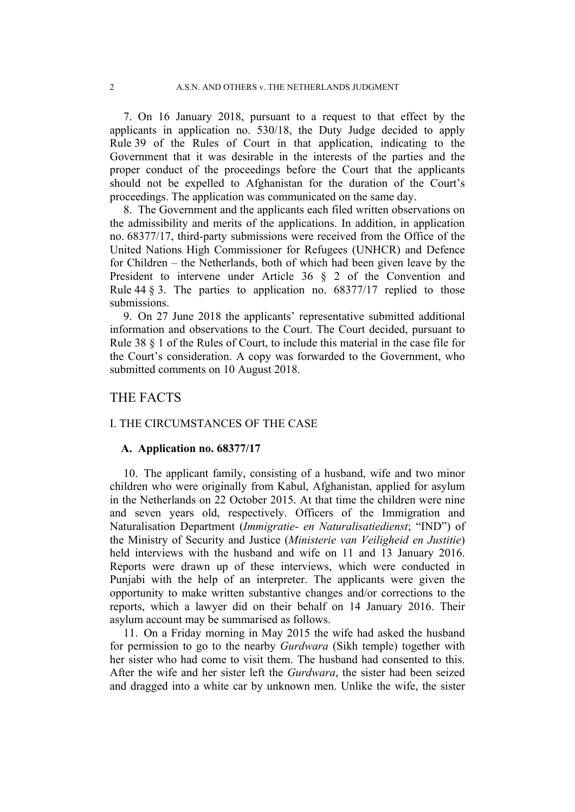7. On 16 January 2018, pursuant to a request to that effect by the applicants in application no. 530/18, the Duty Judge decided to apply Rule 39 of the Rules of Court in that application, indicating to the Government that it was desirable in the interests of the parties and the proper conduct of the proceedings before the Court that the applicants should not be expelled to Afghanistan for the duration of the Court's proceedings. The application was communicated on the same day.

8. The Government and the applicants each filed written observations on the admissibility and merits of the applications. In addition, in application no. 68377/17, third-party submissions were received from the Office of the United Nations High Commissioner for Refugees (UNHCR) and Defence for Children – the Netherlands, both of which had been given leave by the President to intervene under Article 36 § 2 of the Convention and Rule 44  $\S$  3. The parties to application no. 68377/17 replied to those submissions.

9. On 27 June 2018 the applicants' representative submitted additional information and observations to the Court. The Court decided, pursuant to Rule 38 § 1 of the Rules of Court, to include this material in the case file for the Court's consideration. A copy was forwarded to the Government, who submitted comments on 10 August 2018.

## THE FACTS

### I. THE CIRCUMSTANCES OF THE CASE

### **A. Application no. 68377/17**

10. The applicant family, consisting of a husband, wife and two minor children who were originally from Kabul, Afghanistan, applied for asylum in the Netherlands on 22 October 2015. At that time the children were nine and seven years old, respectively. Officers of the Immigration and Naturalisation Department (*Immigratie- en Naturalisatiedienst*; "IND") of the Ministry of Security and Justice (*Ministerie van Veiligheid en Justitie*) held interviews with the husband and wife on 11 and 13 January 2016. Reports were drawn up of these interviews, which were conducted in Punjabi with the help of an interpreter. The applicants were given the opportunity to make written substantive changes and/or corrections to the reports, which a lawyer did on their behalf on 14 January 2016. Their asylum account may be summarised as follows.

11. On a Friday morning in May 2015 the wife had asked the husband for permission to go to the nearby *Gurdwara* (Sikh temple) together with her sister who had come to visit them. The husband had consented to this. After the wife and her sister left the *Gurdwara*, the sister had been seized and dragged into a white car by unknown men. Unlike the wife, the sister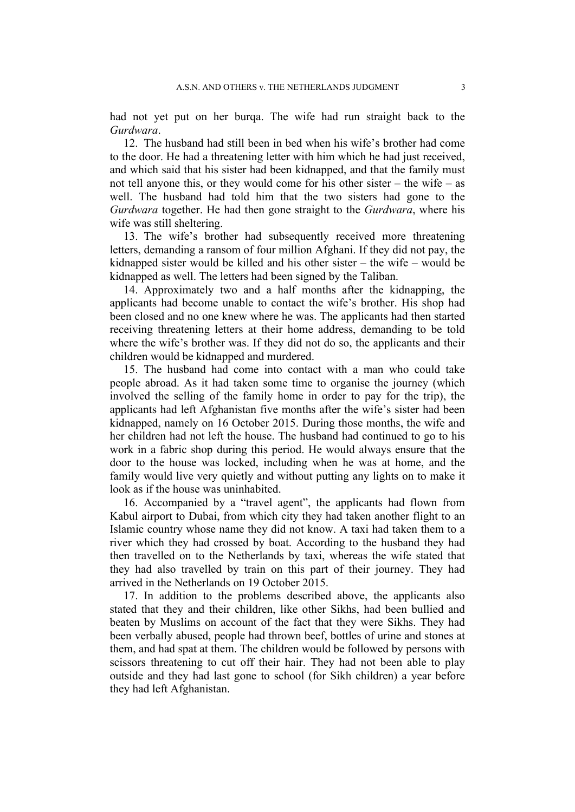had not yet put on her burqa. The wife had run straight back to the *Gurdwara*.

12. The husband had still been in bed when his wife's brother had come to the door. He had a threatening letter with him which he had just received, and which said that his sister had been kidnapped, and that the family must not tell anyone this, or they would come for his other sister – the wife – as well. The husband had told him that the two sisters had gone to the *Gurdwara* together. He had then gone straight to the *Gurdwara*, where his wife was still sheltering.

13. The wife's brother had subsequently received more threatening letters, demanding a ransom of four million Afghani. If they did not pay, the kidnapped sister would be killed and his other sister – the wife – would be kidnapped as well. The letters had been signed by the Taliban.

14. Approximately two and a half months after the kidnapping, the applicants had become unable to contact the wife's brother. His shop had been closed and no one knew where he was. The applicants had then started receiving threatening letters at their home address, demanding to be told where the wife's brother was. If they did not do so, the applicants and their children would be kidnapped and murdered.

15. The husband had come into contact with a man who could take people abroad. As it had taken some time to organise the journey (which involved the selling of the family home in order to pay for the trip), the applicants had left Afghanistan five months after the wife's sister had been kidnapped, namely on 16 October 2015. During those months, the wife and her children had not left the house. The husband had continued to go to his work in a fabric shop during this period. He would always ensure that the door to the house was locked, including when he was at home, and the family would live very quietly and without putting any lights on to make it look as if the house was uninhabited.

16. Accompanied by a "travel agent", the applicants had flown from Kabul airport to Dubai, from which city they had taken another flight to an Islamic country whose name they did not know. A taxi had taken them to a river which they had crossed by boat. According to the husband they had then travelled on to the Netherlands by taxi, whereas the wife stated that they had also travelled by train on this part of their journey. They had arrived in the Netherlands on 19 October 2015.

17. In addition to the problems described above, the applicants also stated that they and their children, like other Sikhs, had been bullied and beaten by Muslims on account of the fact that they were Sikhs. They had been verbally abused, people had thrown beef, bottles of urine and stones at them, and had spat at them. The children would be followed by persons with scissors threatening to cut off their hair. They had not been able to play outside and they had last gone to school (for Sikh children) a year before they had left Afghanistan.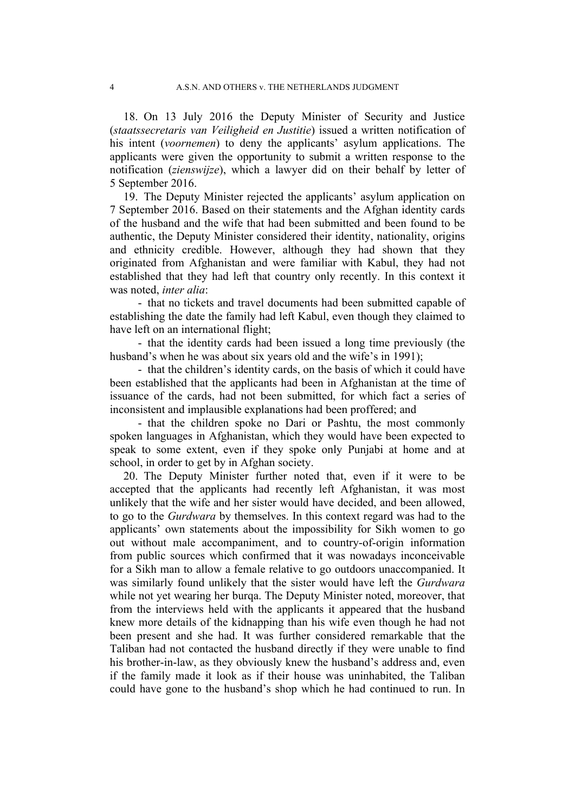18. On 13 July 2016 the Deputy Minister of Security and Justice (*staatssecretaris van Veiligheid en Justitie*) issued a written notification of his intent (*voornemen*) to deny the applicants' asylum applications. The applicants were given the opportunity to submit a written response to the notification (*zienswijze*), which a lawyer did on their behalf by letter of 5 September 2016.

19. The Deputy Minister rejected the applicants' asylum application on 7 September 2016. Based on their statements and the Afghan identity cards of the husband and the wife that had been submitted and been found to be authentic, the Deputy Minister considered their identity, nationality, origins and ethnicity credible. However, although they had shown that they originated from Afghanistan and were familiar with Kabul, they had not established that they had left that country only recently. In this context it was noted, *inter alia*:

- that no tickets and travel documents had been submitted capable of establishing the date the family had left Kabul, even though they claimed to have left on an international flight;

- that the identity cards had been issued a long time previously (the husband's when he was about six years old and the wife's in 1991);

- that the children's identity cards, on the basis of which it could have been established that the applicants had been in Afghanistan at the time of issuance of the cards, had not been submitted, for which fact a series of inconsistent and implausible explanations had been proffered; and

- that the children spoke no Dari or Pashtu, the most commonly spoken languages in Afghanistan, which they would have been expected to speak to some extent, even if they spoke only Punjabi at home and at school, in order to get by in Afghan society.

20. The Deputy Minister further noted that, even if it were to be accepted that the applicants had recently left Afghanistan, it was most unlikely that the wife and her sister would have decided, and been allowed, to go to the *Gurdwara* by themselves. In this context regard was had to the applicants' own statements about the impossibility for Sikh women to go out without male accompaniment, and to country-of-origin information from public sources which confirmed that it was nowadays inconceivable for a Sikh man to allow a female relative to go outdoors unaccompanied. It was similarly found unlikely that the sister would have left the *Gurdwara* while not yet wearing her burqa. The Deputy Minister noted, moreover, that from the interviews held with the applicants it appeared that the husband knew more details of the kidnapping than his wife even though he had not been present and she had. It was further considered remarkable that the Taliban had not contacted the husband directly if they were unable to find his brother-in-law, as they obviously knew the husband's address and, even if the family made it look as if their house was uninhabited, the Taliban could have gone to the husband's shop which he had continued to run. In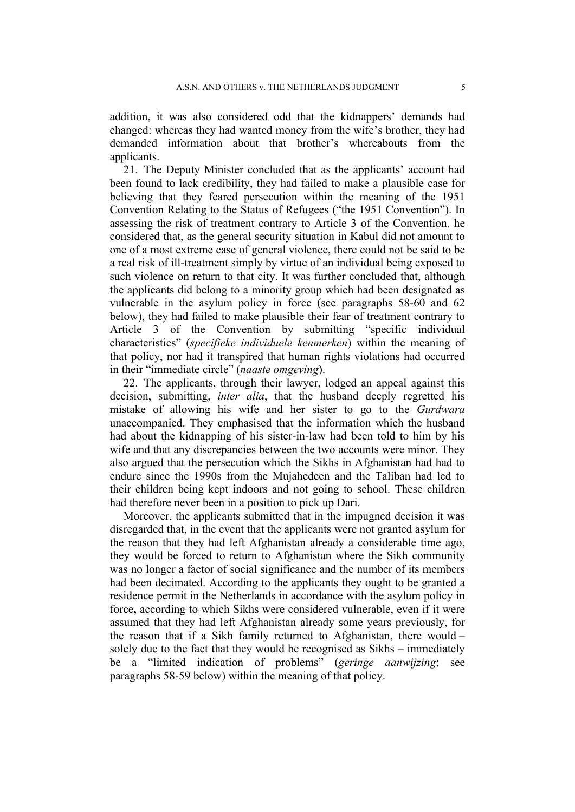addition, it was also considered odd that the kidnappers' demands had changed: whereas they had wanted money from the wife's brother, they had demanded information about that brother's whereabouts from the applicants.

21. The Deputy Minister concluded that as the applicants' account had been found to lack credibility, they had failed to make a plausible case for believing that they feared persecution within the meaning of the 1951 Convention Relating to the Status of Refugees ("the 1951 Convention"). In assessing the risk of treatment contrary to Article 3 of the Convention, he considered that, as the general security situation in Kabul did not amount to one of a most extreme case of general violence, there could not be said to be a real risk of ill-treatment simply by virtue of an individual being exposed to such violence on return to that city. It was further concluded that, although the applicants did belong to a minority group which had been designated as vulnerable in the asylum policy in force (see paragraphs 58-60 and 62 below), they had failed to make plausible their fear of treatment contrary to Article 3 of the Convention by submitting "specific individual characteristics" (*specifieke individuele kenmerken*) within the meaning of that policy, nor had it transpired that human rights violations had occurred in their "immediate circle" (*naaste omgeving*).

22. The applicants, through their lawyer, lodged an appeal against this decision, submitting, *inter alia*, that the husband deeply regretted his mistake of allowing his wife and her sister to go to the *Gurdwara* unaccompanied. They emphasised that the information which the husband had about the kidnapping of his sister-in-law had been told to him by his wife and that any discrepancies between the two accounts were minor. They also argued that the persecution which the Sikhs in Afghanistan had had to endure since the 1990s from the Mujahedeen and the Taliban had led to their children being kept indoors and not going to school. These children had therefore never been in a position to pick up Dari.

Moreover, the applicants submitted that in the impugned decision it was disregarded that, in the event that the applicants were not granted asylum for the reason that they had left Afghanistan already a considerable time ago, they would be forced to return to Afghanistan where the Sikh community was no longer a factor of social significance and the number of its members had been decimated. According to the applicants they ought to be granted a residence permit in the Netherlands in accordance with the asylum policy in force**,** according to which Sikhs were considered vulnerable, even if it were assumed that they had left Afghanistan already some years previously, for the reason that if a Sikh family returned to Afghanistan, there would – solely due to the fact that they would be recognised as Sikhs – immediately be a "limited indication of problems" (*geringe aanwijzing*; see paragraphs 58-59 below) within the meaning of that policy.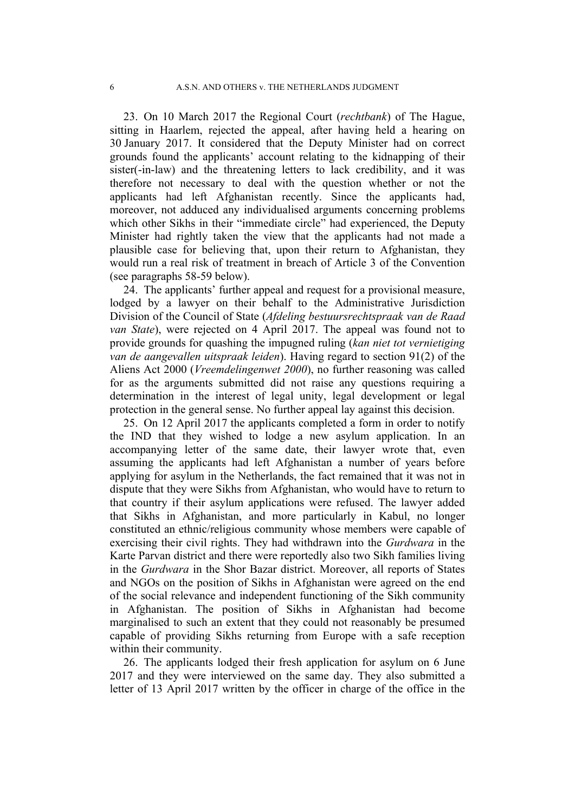23. On 10 March 2017 the Regional Court (*rechtbank*) of The Hague, sitting in Haarlem, rejected the appeal, after having held a hearing on 30 January 2017. It considered that the Deputy Minister had on correct grounds found the applicants' account relating to the kidnapping of their sister(-in-law) and the threatening letters to lack credibility, and it was therefore not necessary to deal with the question whether or not the applicants had left Afghanistan recently. Since the applicants had, moreover, not adduced any individualised arguments concerning problems which other Sikhs in their "immediate circle" had experienced, the Deputy Minister had rightly taken the view that the applicants had not made a plausible case for believing that, upon their return to Afghanistan, they would run a real risk of treatment in breach of Article 3 of the Convention (see paragraphs 58-59 below).

24. The applicants' further appeal and request for a provisional measure, lodged by a lawyer on their behalf to the Administrative Jurisdiction Division of the Council of State (*Afdeling bestuursrechtspraak van de Raad van State*), were rejected on 4 April 2017. The appeal was found not to provide grounds for quashing the impugned ruling (*kan niet tot vernietiging van de aangevallen uitspraak leiden*). Having regard to section 91(2) of the Aliens Act 2000 (*Vreemdelingenwet 2000*), no further reasoning was called for as the arguments submitted did not raise any questions requiring a determination in the interest of legal unity, legal development or legal protection in the general sense. No further appeal lay against this decision.

25. On 12 April 2017 the applicants completed a form in order to notify the IND that they wished to lodge a new asylum application. In an accompanying letter of the same date, their lawyer wrote that, even assuming the applicants had left Afghanistan a number of years before applying for asylum in the Netherlands, the fact remained that it was not in dispute that they were Sikhs from Afghanistan, who would have to return to that country if their asylum applications were refused. The lawyer added that Sikhs in Afghanistan, and more particularly in Kabul, no longer constituted an ethnic/religious community whose members were capable of exercising their civil rights. They had withdrawn into the *Gurdwara* in the Karte Parvan district and there were reportedly also two Sikh families living in the *Gurdwara* in the Shor Bazar district. Moreover, all reports of States and NGOs on the position of Sikhs in Afghanistan were agreed on the end of the social relevance and independent functioning of the Sikh community in Afghanistan. The position of Sikhs in Afghanistan had become marginalised to such an extent that they could not reasonably be presumed capable of providing Sikhs returning from Europe with a safe reception within their community.

26. The applicants lodged their fresh application for asylum on 6 June 2017 and they were interviewed on the same day. They also submitted a letter of 13 April 2017 written by the officer in charge of the office in the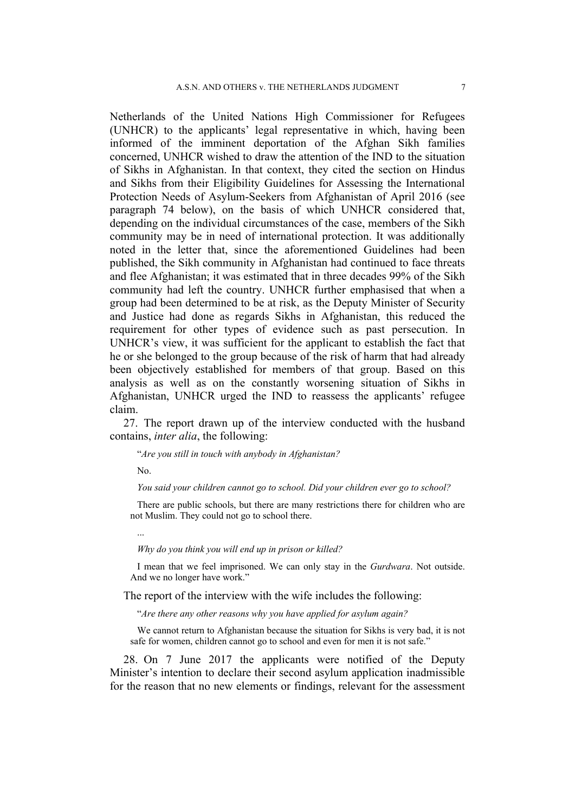Netherlands of the United Nations High Commissioner for Refugees (UNHCR) to the applicants' legal representative in which, having been informed of the imminent deportation of the Afghan Sikh families concerned, UNHCR wished to draw the attention of the IND to the situation of Sikhs in Afghanistan. In that context, they cited the section on Hindus and Sikhs from their Eligibility Guidelines for Assessing the International Protection Needs of Asylum-Seekers from Afghanistan of April 2016 (see paragraph 74 below), on the basis of which UNHCR considered that, depending on the individual circumstances of the case, members of the Sikh community may be in need of international protection. It was additionally noted in the letter that, since the aforementioned Guidelines had been published, the Sikh community in Afghanistan had continued to face threats and flee Afghanistan; it was estimated that in three decades 99% of the Sikh community had left the country. UNHCR further emphasised that when a group had been determined to be at risk, as the Deputy Minister of Security and Justice had done as regards Sikhs in Afghanistan, this reduced the requirement for other types of evidence such as past persecution. In UNHCR's view, it was sufficient for the applicant to establish the fact that he or she belonged to the group because of the risk of harm that had already been objectively established for members of that group. Based on this analysis as well as on the constantly worsening situation of Sikhs in Afghanistan, UNHCR urged the IND to reassess the applicants' refugee claim.

27. The report drawn up of the interview conducted with the husband contains, *inter alia*, the following:

"*Are you still in touch with anybody in Afghanistan?*

No.

*You said your children cannot go to school. Did your children ever go to school?*

There are public schools, but there are many restrictions there for children who are not Muslim. They could not go to school there.

...

*Why do you think you will end up in prison or killed?*

I mean that we feel imprisoned. We can only stay in the *Gurdwara*. Not outside. And we no longer have work."

The report of the interview with the wife includes the following:

"*Are there any other reasons why you have applied for asylum again?*

We cannot return to Afghanistan because the situation for Sikhs is very bad, it is not safe for women, children cannot go to school and even for men it is not safe."

28. On 7 June 2017 the applicants were notified of the Deputy Minister's intention to declare their second asylum application inadmissible for the reason that no new elements or findings, relevant for the assessment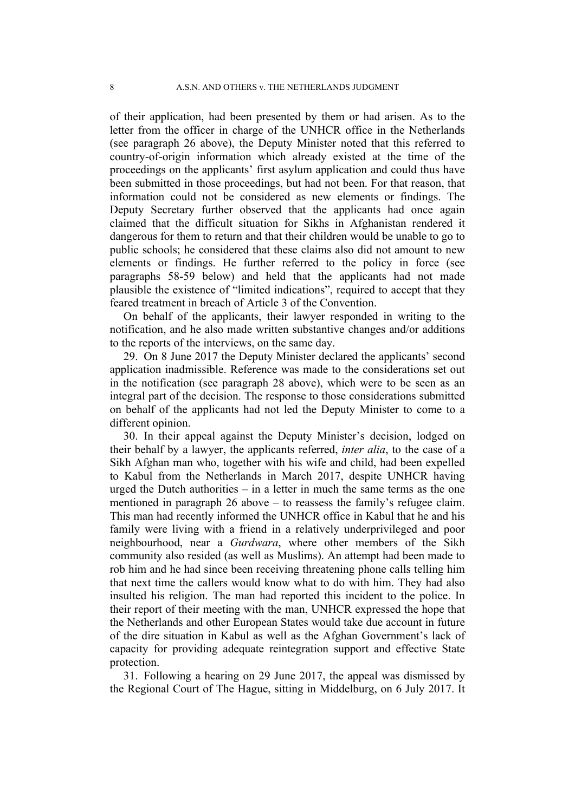of their application, had been presented by them or had arisen. As to the letter from the officer in charge of the UNHCR office in the Netherlands (see paragraph 26 above), the Deputy Minister noted that this referred to country-of-origin information which already existed at the time of the proceedings on the applicants' first asylum application and could thus have been submitted in those proceedings, but had not been. For that reason, that information could not be considered as new elements or findings. The Deputy Secretary further observed that the applicants had once again claimed that the difficult situation for Sikhs in Afghanistan rendered it dangerous for them to return and that their children would be unable to go to public schools; he considered that these claims also did not amount to new elements or findings. He further referred to the policy in force (see paragraphs 58-59 below) and held that the applicants had not made plausible the existence of "limited indications", required to accept that they feared treatment in breach of Article 3 of the Convention.

On behalf of the applicants, their lawyer responded in writing to the notification, and he also made written substantive changes and/or additions to the reports of the interviews, on the same day.

29. On 8 June 2017 the Deputy Minister declared the applicants' second application inadmissible. Reference was made to the considerations set out in the notification (see paragraph 28 above), which were to be seen as an integral part of the decision. The response to those considerations submitted on behalf of the applicants had not led the Deputy Minister to come to a different opinion.

30. In their appeal against the Deputy Minister's decision, lodged on their behalf by a lawyer, the applicants referred, *inter alia*, to the case of a Sikh Afghan man who, together with his wife and child, had been expelled to Kabul from the Netherlands in March 2017, despite UNHCR having urged the Dutch authorities – in a letter in much the same terms as the one mentioned in paragraph 26 above – to reassess the family's refugee claim. This man had recently informed the UNHCR office in Kabul that he and his family were living with a friend in a relatively underprivileged and poor neighbourhood, near a *Gurdwara*, where other members of the Sikh community also resided (as well as Muslims). An attempt had been made to rob him and he had since been receiving threatening phone calls telling him that next time the callers would know what to do with him. They had also insulted his religion. The man had reported this incident to the police. In their report of their meeting with the man, UNHCR expressed the hope that the Netherlands and other European States would take due account in future of the dire situation in Kabul as well as the Afghan Government's lack of capacity for providing adequate reintegration support and effective State protection.

31. Following a hearing on 29 June 2017, the appeal was dismissed by the Regional Court of The Hague, sitting in Middelburg, on 6 July 2017. It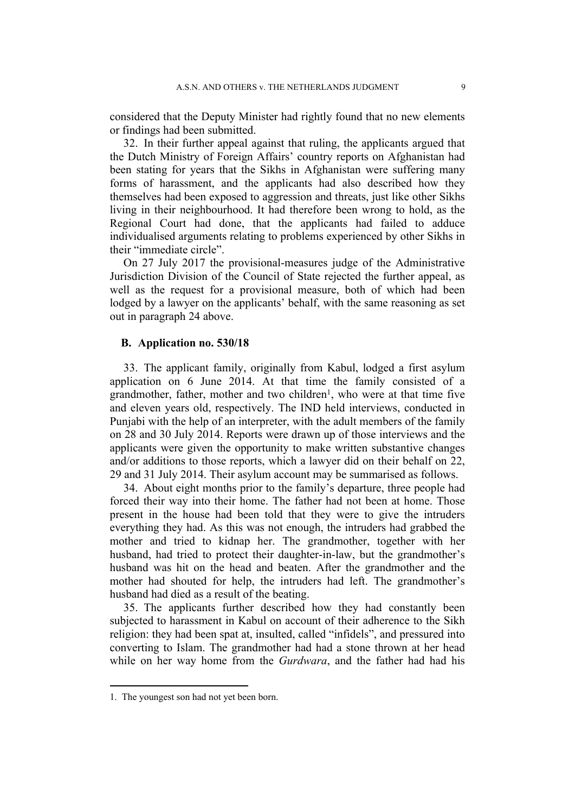considered that the Deputy Minister had rightly found that no new elements or findings had been submitted.

32. In their further appeal against that ruling, the applicants argued that the Dutch Ministry of Foreign Affairs' country reports on Afghanistan had been stating for years that the Sikhs in Afghanistan were suffering many forms of harassment, and the applicants had also described how they themselves had been exposed to aggression and threats, just like other Sikhs living in their neighbourhood. It had therefore been wrong to hold, as the Regional Court had done, that the applicants had failed to adduce individualised arguments relating to problems experienced by other Sikhs in their "immediate circle".

On 27 July 2017 the provisional-measures judge of the Administrative Jurisdiction Division of the Council of State rejected the further appeal, as well as the request for a provisional measure, both of which had been lodged by a lawyer on the applicants' behalf, with the same reasoning as set out in paragraph 24 above.

### **B. Application no. 530/18**

33. The applicant family, originally from Kabul, lodged a first asylum application on 6 June 2014. At that time the family consisted of a grandmother, father, mother and two children<sup>1</sup>, who were at that time five and eleven years old, respectively. The IND held interviews, conducted in Punjabi with the help of an interpreter, with the adult members of the family on 28 and 30 July 2014. Reports were drawn up of those interviews and the applicants were given the opportunity to make written substantive changes and/or additions to those reports, which a lawyer did on their behalf on 22, 29 and 31 July 2014. Their asylum account may be summarised as follows.

34. About eight months prior to the family's departure, three people had forced their way into their home. The father had not been at home. Those present in the house had been told that they were to give the intruders everything they had. As this was not enough, the intruders had grabbed the mother and tried to kidnap her. The grandmother, together with her husband, had tried to protect their daughter-in-law, but the grandmother's husband was hit on the head and beaten. After the grandmother and the mother had shouted for help, the intruders had left. The grandmother's husband had died as a result of the beating.

35. The applicants further described how they had constantly been subjected to harassment in Kabul on account of their adherence to the Sikh religion: they had been spat at, insulted, called "infidels", and pressured into converting to Islam. The grandmother had had a stone thrown at her head while on her way home from the *Gurdwara*, and the father had had his

<sup>1.</sup> The youngest son had not yet been born.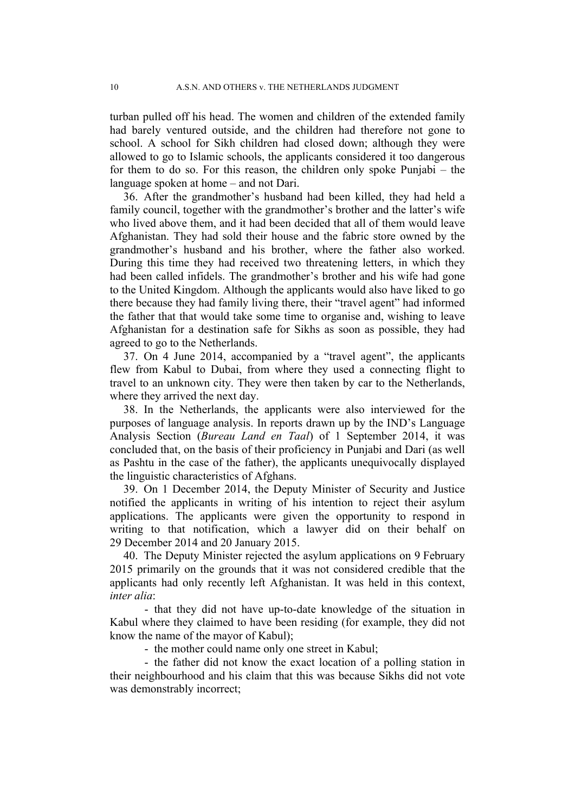turban pulled off his head. The women and children of the extended family had barely ventured outside, and the children had therefore not gone to school. A school for Sikh children had closed down; although they were allowed to go to Islamic schools, the applicants considered it too dangerous for them to do so. For this reason, the children only spoke Punjabi – the language spoken at home – and not Dari.

36. After the grandmother's husband had been killed, they had held a family council, together with the grandmother's brother and the latter's wife who lived above them, and it had been decided that all of them would leave Afghanistan. They had sold their house and the fabric store owned by the grandmother's husband and his brother, where the father also worked. During this time they had received two threatening letters, in which they had been called infidels. The grandmother's brother and his wife had gone to the United Kingdom. Although the applicants would also have liked to go there because they had family living there, their "travel agent" had informed the father that that would take some time to organise and, wishing to leave Afghanistan for a destination safe for Sikhs as soon as possible, they had agreed to go to the Netherlands.

37. On 4 June 2014, accompanied by a "travel agent", the applicants flew from Kabul to Dubai, from where they used a connecting flight to travel to an unknown city. They were then taken by car to the Netherlands, where they arrived the next day.

38. In the Netherlands, the applicants were also interviewed for the purposes of language analysis. In reports drawn up by the IND's Language Analysis Section (*Bureau Land en Taal*) of 1 September 2014, it was concluded that, on the basis of their proficiency in Punjabi and Dari (as well as Pashtu in the case of the father), the applicants unequivocally displayed the linguistic characteristics of Afghans.

39. On 1 December 2014, the Deputy Minister of Security and Justice notified the applicants in writing of his intention to reject their asylum applications. The applicants were given the opportunity to respond in writing to that notification, which a lawyer did on their behalf on 29 December 2014 and 20 January 2015.

40. The Deputy Minister rejected the asylum applications on 9 February 2015 primarily on the grounds that it was not considered credible that the applicants had only recently left Afghanistan. It was held in this context, *inter alia*:

- that they did not have up-to-date knowledge of the situation in Kabul where they claimed to have been residing (for example, they did not know the name of the mayor of Kabul);

- the mother could name only one street in Kabul;

- the father did not know the exact location of a polling station in their neighbourhood and his claim that this was because Sikhs did not vote was demonstrably incorrect;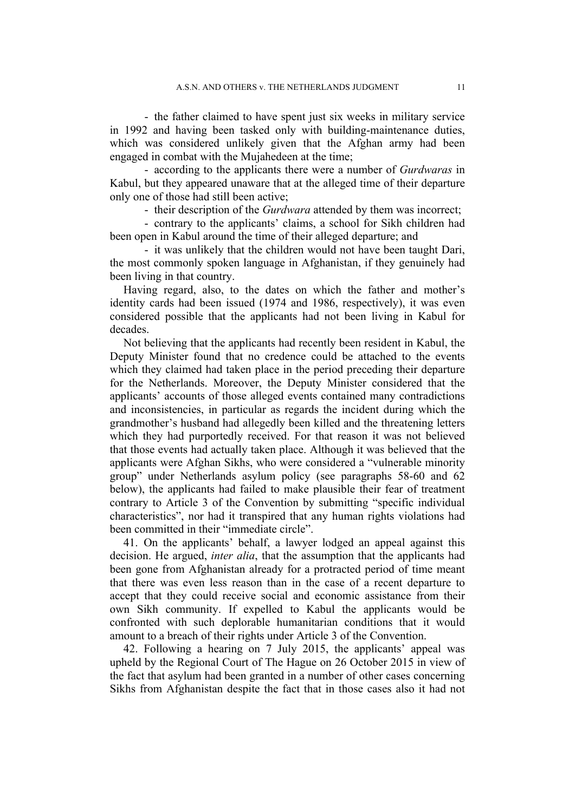- the father claimed to have spent just six weeks in military service in 1992 and having been tasked only with building-maintenance duties, which was considered unlikely given that the Afghan army had been engaged in combat with the Mujahedeen at the time;

- according to the applicants there were a number of *Gurdwaras* in Kabul, but they appeared unaware that at the alleged time of their departure only one of those had still been active;

- their description of the *Gurdwara* attended by them was incorrect;

- contrary to the applicants' claims, a school for Sikh children had been open in Kabul around the time of their alleged departure; and

- it was unlikely that the children would not have been taught Dari, the most commonly spoken language in Afghanistan, if they genuinely had been living in that country.

Having regard, also, to the dates on which the father and mother's identity cards had been issued (1974 and 1986, respectively), it was even considered possible that the applicants had not been living in Kabul for decades.

Not believing that the applicants had recently been resident in Kabul, the Deputy Minister found that no credence could be attached to the events which they claimed had taken place in the period preceding their departure for the Netherlands. Moreover, the Deputy Minister considered that the applicants' accounts of those alleged events contained many contradictions and inconsistencies, in particular as regards the incident during which the grandmother's husband had allegedly been killed and the threatening letters which they had purportedly received. For that reason it was not believed that those events had actually taken place. Although it was believed that the applicants were Afghan Sikhs, who were considered a "vulnerable minority group" under Netherlands asylum policy (see paragraphs 58-60 and 62 below), the applicants had failed to make plausible their fear of treatment contrary to Article 3 of the Convention by submitting "specific individual characteristics", nor had it transpired that any human rights violations had been committed in their "immediate circle".

41. On the applicants' behalf, a lawyer lodged an appeal against this decision. He argued, *inter alia*, that the assumption that the applicants had been gone from Afghanistan already for a protracted period of time meant that there was even less reason than in the case of a recent departure to accept that they could receive social and economic assistance from their own Sikh community. If expelled to Kabul the applicants would be confronted with such deplorable humanitarian conditions that it would amount to a breach of their rights under Article 3 of the Convention.

42. Following a hearing on 7 July 2015, the applicants' appeal was upheld by the Regional Court of The Hague on 26 October 2015 in view of the fact that asylum had been granted in a number of other cases concerning Sikhs from Afghanistan despite the fact that in those cases also it had not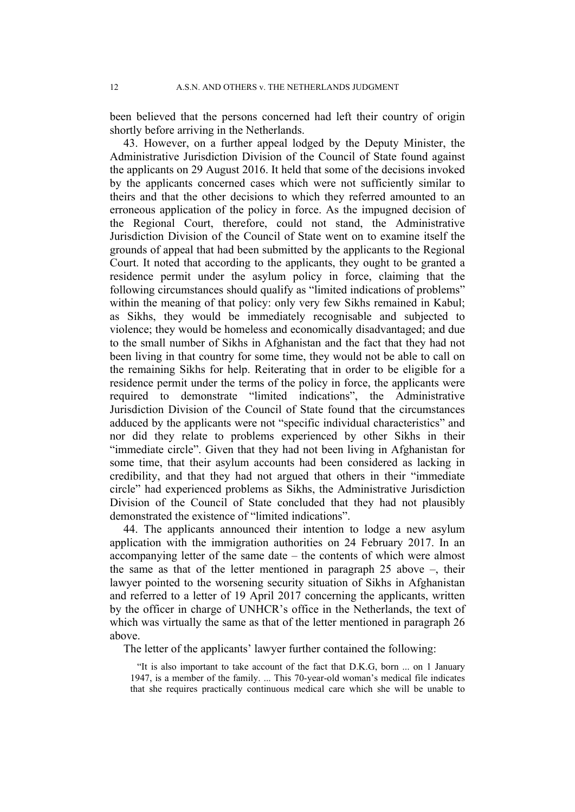been believed that the persons concerned had left their country of origin shortly before arriving in the Netherlands.

43. However, on a further appeal lodged by the Deputy Minister, the Administrative Jurisdiction Division of the Council of State found against the applicants on 29 August 2016. It held that some of the decisions invoked by the applicants concerned cases which were not sufficiently similar to theirs and that the other decisions to which they referred amounted to an erroneous application of the policy in force. As the impugned decision of the Regional Court, therefore, could not stand, the Administrative Jurisdiction Division of the Council of State went on to examine itself the grounds of appeal that had been submitted by the applicants to the Regional Court. It noted that according to the applicants, they ought to be granted a residence permit under the asylum policy in force, claiming that the following circumstances should qualify as "limited indications of problems" within the meaning of that policy: only very few Sikhs remained in Kabul; as Sikhs, they would be immediately recognisable and subjected to violence; they would be homeless and economically disadvantaged; and due to the small number of Sikhs in Afghanistan and the fact that they had not been living in that country for some time, they would not be able to call on the remaining Sikhs for help. Reiterating that in order to be eligible for a residence permit under the terms of the policy in force, the applicants were required to demonstrate "limited indications", the Administrative Jurisdiction Division of the Council of State found that the circumstances adduced by the applicants were not "specific individual characteristics" and nor did they relate to problems experienced by other Sikhs in their "immediate circle". Given that they had not been living in Afghanistan for some time, that their asylum accounts had been considered as lacking in credibility, and that they had not argued that others in their "immediate circle" had experienced problems as Sikhs, the Administrative Jurisdiction Division of the Council of State concluded that they had not plausibly demonstrated the existence of "limited indications".

44. The applicants announced their intention to lodge a new asylum application with the immigration authorities on 24 February 2017. In an accompanying letter of the same date – the contents of which were almost the same as that of the letter mentioned in paragraph 25 above –, their lawyer pointed to the worsening security situation of Sikhs in Afghanistan and referred to a letter of 19 April 2017 concerning the applicants, written by the officer in charge of UNHCR's office in the Netherlands, the text of which was virtually the same as that of the letter mentioned in paragraph 26 above.

The letter of the applicants' lawyer further contained the following:

"It is also important to take account of the fact that D.K.G, born ... on 1 January 1947, is a member of the family. ... This 70-year-old woman's medical file indicates that she requires practically continuous medical care which she will be unable to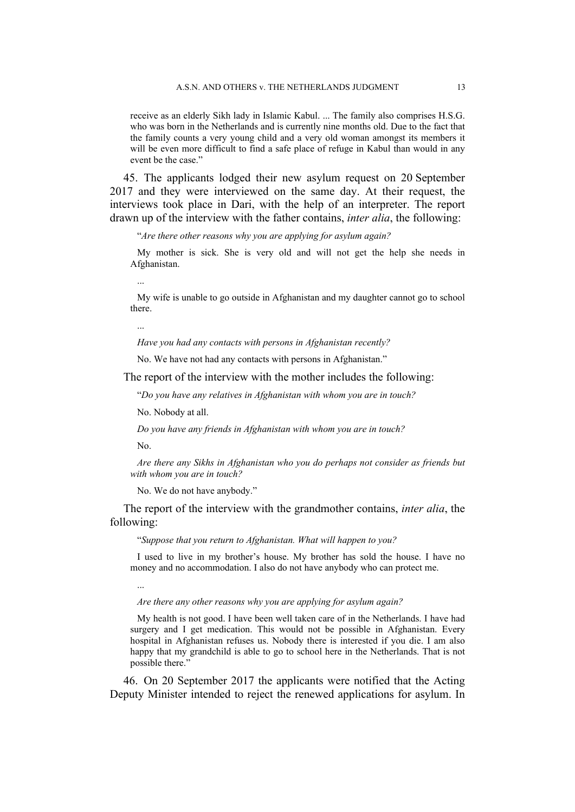receive as an elderly Sikh lady in Islamic Kabul. ... The family also comprises H.S.G. who was born in the Netherlands and is currently nine months old. Due to the fact that the family counts a very young child and a very old woman amongst its members it will be even more difficult to find a safe place of refuge in Kabul than would in any event be the case."

45. The applicants lodged their new asylum request on 20 September 2017 and they were interviewed on the same day. At their request, the interviews took place in Dari, with the help of an interpreter. The report drawn up of the interview with the father contains, *inter alia*, the following:

"*Are there other reasons why you are applying for asylum again?*

My mother is sick. She is very old and will not get the help she needs in Afghanistan.

...

My wife is unable to go outside in Afghanistan and my daughter cannot go to school there.

*Have you had any contacts with persons in Afghanistan recently?*

No. We have not had any contacts with persons in Afghanistan."

The report of the interview with the mother includes the following:

"*Do you have any relatives in Afghanistan with whom you are in touch?*

No. Nobody at all.

*Do you have any friends in Afghanistan with whom you are in touch?*

No.

*Are there any Sikhs in Afghanistan who you do perhaps not consider as friends but with whom you are in touch?*

No. We do not have anybody."

The report of the interview with the grandmother contains, *inter alia*, the following:

"*Suppose that you return to Afghanistan. What will happen to you?*

I used to live in my brother's house. My brother has sold the house. I have no money and no accommodation. I also do not have anybody who can protect me.

...

*Are there any other reasons why you are applying for asylum again?*

My health is not good. I have been well taken care of in the Netherlands. I have had surgery and I get medication. This would not be possible in Afghanistan. Every hospital in Afghanistan refuses us. Nobody there is interested if you die. I am also happy that my grandchild is able to go to school here in the Netherlands. That is not possible there."

46. On 20 September 2017 the applicants were notified that the Acting Deputy Minister intended to reject the renewed applications for asylum. In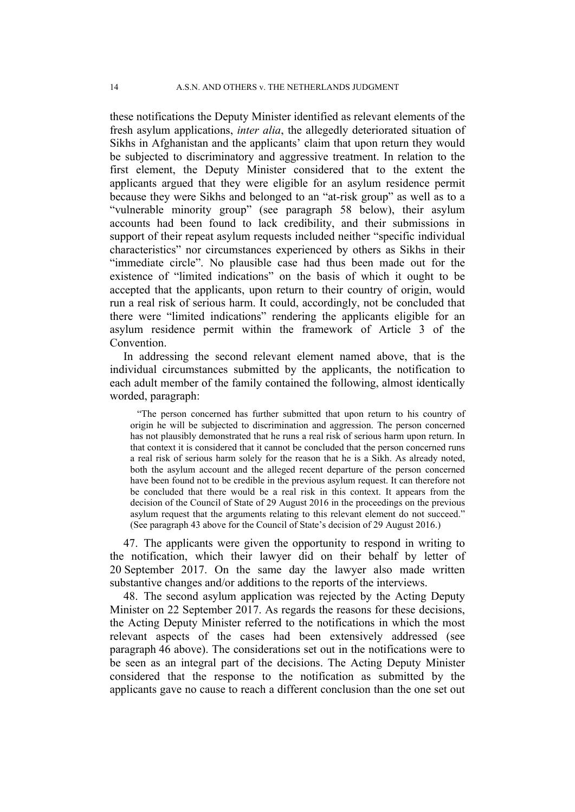these notifications the Deputy Minister identified as relevant elements of the fresh asylum applications, *inter alia*, the allegedly deteriorated situation of Sikhs in Afghanistan and the applicants' claim that upon return they would be subjected to discriminatory and aggressive treatment. In relation to the first element, the Deputy Minister considered that to the extent the applicants argued that they were eligible for an asylum residence permit because they were Sikhs and belonged to an "at-risk group" as well as to a "vulnerable minority group" (see paragraph 58 below), their asylum accounts had been found to lack credibility, and their submissions in support of their repeat asylum requests included neither "specific individual characteristics" nor circumstances experienced by others as Sikhs in their "immediate circle". No plausible case had thus been made out for the existence of "limited indications" on the basis of which it ought to be accepted that the applicants, upon return to their country of origin, would run a real risk of serious harm. It could, accordingly, not be concluded that there were "limited indications" rendering the applicants eligible for an asylum residence permit within the framework of Article 3 of the Convention.

In addressing the second relevant element named above, that is the individual circumstances submitted by the applicants, the notification to each adult member of the family contained the following, almost identically worded, paragraph:

"The person concerned has further submitted that upon return to his country of origin he will be subjected to discrimination and aggression. The person concerned has not plausibly demonstrated that he runs a real risk of serious harm upon return. In that context it is considered that it cannot be concluded that the person concerned runs a real risk of serious harm solely for the reason that he is a Sikh. As already noted, both the asylum account and the alleged recent departure of the person concerned have been found not to be credible in the previous asylum request. It can therefore not be concluded that there would be a real risk in this context. It appears from the decision of the Council of State of 29 August 2016 in the proceedings on the previous asylum request that the arguments relating to this relevant element do not succeed." (See paragraph 43 above for the Council of State's decision of 29 August 2016.)

47. The applicants were given the opportunity to respond in writing to the notification, which their lawyer did on their behalf by letter of 20 September 2017. On the same day the lawyer also made written substantive changes and/or additions to the reports of the interviews.

48. The second asylum application was rejected by the Acting Deputy Minister on 22 September 2017. As regards the reasons for these decisions, the Acting Deputy Minister referred to the notifications in which the most relevant aspects of the cases had been extensively addressed (see paragraph 46 above). The considerations set out in the notifications were to be seen as an integral part of the decisions. The Acting Deputy Minister considered that the response to the notification as submitted by the applicants gave no cause to reach a different conclusion than the one set out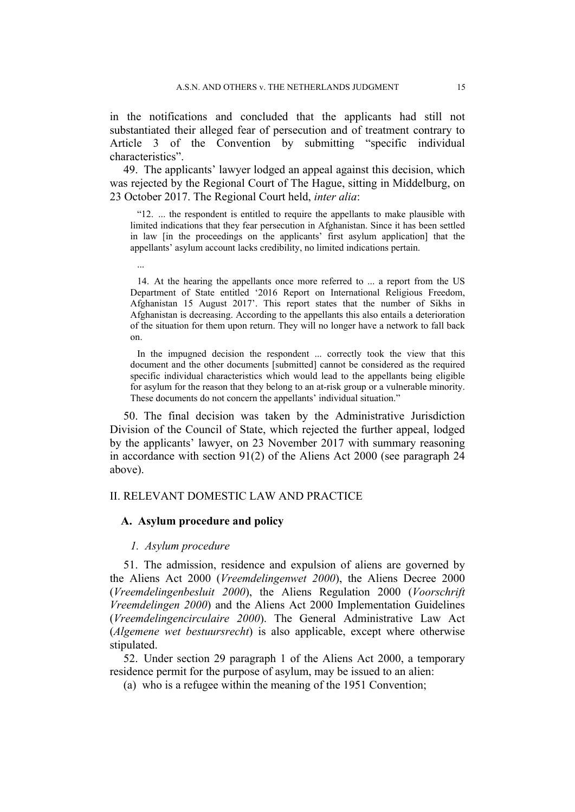in the notifications and concluded that the applicants had still not substantiated their alleged fear of persecution and of treatment contrary to Article 3 of the Convention by submitting "specific individual characteristics".

49. The applicants' lawyer lodged an appeal against this decision, which was rejected by the Regional Court of The Hague, sitting in Middelburg, on 23 October 2017. The Regional Court held, *inter alia*:

"12. ... the respondent is entitled to require the appellants to make plausible with limited indications that they fear persecution in Afghanistan. Since it has been settled in law [in the proceedings on the applicants' first asylum application] that the appellants' asylum account lacks credibility, no limited indications pertain.

14. At the hearing the appellants once more referred to ... a report from the US Department of State entitled '2016 Report on International Religious Freedom, Afghanistan 15 August 2017'. This report states that the number of Sikhs in Afghanistan is decreasing. According to the appellants this also entails a deterioration of the situation for them upon return. They will no longer have a network to fall back on.

In the impugned decision the respondent ... correctly took the view that this document and the other documents [submitted] cannot be considered as the required specific individual characteristics which would lead to the appellants being eligible for asylum for the reason that they belong to an at-risk group or a vulnerable minority. These documents do not concern the appellants' individual situation."

50. The final decision was taken by the Administrative Jurisdiction Division of the Council of State, which rejected the further appeal, lodged by the applicants' lawyer, on 23 November 2017 with summary reasoning in accordance with section 91(2) of the Aliens Act 2000 (see paragraph 24 above).

### II. RELEVANT DOMESTIC LAW AND PRACTICE

### **A. Asylum procedure and policy**

### *1. Asylum procedure*

...

51. The admission, residence and expulsion of aliens are governed by the Aliens Act 2000 (*Vreemdelingenwet 2000*), the Aliens Decree 2000 (*Vreemdelingenbesluit 2000*), the Aliens Regulation 2000 (*Voorschrift Vreemdelingen 2000*) and the Aliens Act 2000 Implementation Guidelines (*Vreemdelingencirculaire 2000*). The General Administrative Law Act (*Algemene wet bestuursrecht*) is also applicable, except where otherwise stipulated.

52. Under section 29 paragraph 1 of the Aliens Act 2000, a temporary residence permit for the purpose of asylum, may be issued to an alien:

(a) who is a refugee within the meaning of the 1951 Convention;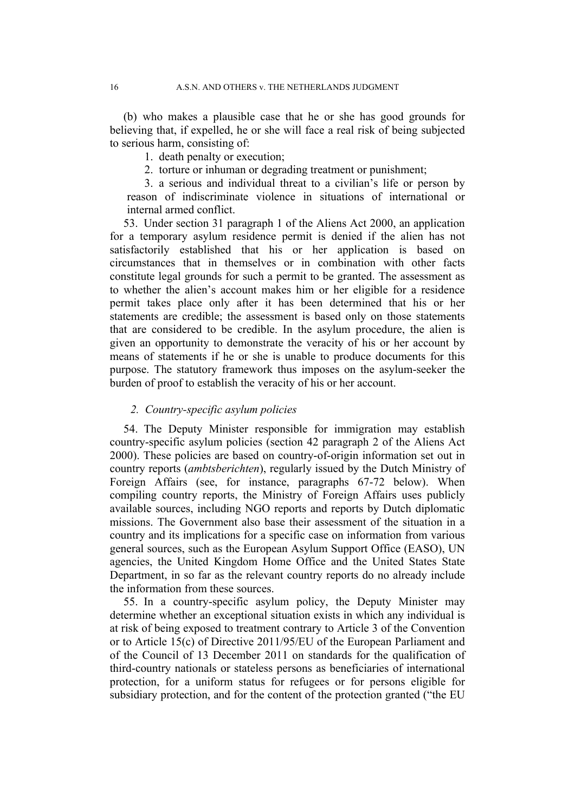(b) who makes a plausible case that he or she has good grounds for believing that, if expelled, he or she will face a real risk of being subjected to serious harm, consisting of:

1. death penalty or execution;

2. torture or inhuman or degrading treatment or punishment;

3. a serious and individual threat to a civilian's life or person by reason of indiscriminate violence in situations of international or internal armed conflict.

53. Under section 31 paragraph 1 of the Aliens Act 2000, an application for a temporary asylum residence permit is denied if the alien has not satisfactorily established that his or her application is based on circumstances that in themselves or in combination with other facts constitute legal grounds for such a permit to be granted. The assessment as to whether the alien's account makes him or her eligible for a residence permit takes place only after it has been determined that his or her statements are credible; the assessment is based only on those statements that are considered to be credible. In the asylum procedure, the alien is given an opportunity to demonstrate the veracity of his or her account by means of statements if he or she is unable to produce documents for this purpose. The statutory framework thus imposes on the asylum-seeker the burden of proof to establish the veracity of his or her account.

### *2. Country-specific asylum policies*

54. The Deputy Minister responsible for immigration may establish country-specific asylum policies (section 42 paragraph 2 of the Aliens Act 2000). These policies are based on country-of-origin information set out in country reports (*ambtsberichten*), regularly issued by the Dutch Ministry of Foreign Affairs (see, for instance, paragraphs 67-72 below). When compiling country reports, the Ministry of Foreign Affairs uses publicly available sources, including NGO reports and reports by Dutch diplomatic missions. The Government also base their assessment of the situation in a country and its implications for a specific case on information from various general sources, such as the European Asylum Support Office (EASO), UN agencies, the United Kingdom Home Office and the United States State Department, in so far as the relevant country reports do no already include the information from these sources.

55. In a country-specific asylum policy, the Deputy Minister may determine whether an exceptional situation exists in which any individual is at risk of being exposed to treatment contrary to Article 3 of the Convention or to Article 15(c) of Directive 2011/95/EU of the European Parliament and of the Council of 13 December 2011 on standards for the qualification of third-country nationals or stateless persons as beneficiaries of international protection, for a uniform status for refugees or for persons eligible for subsidiary protection, and for the content of the protection granted ("the EU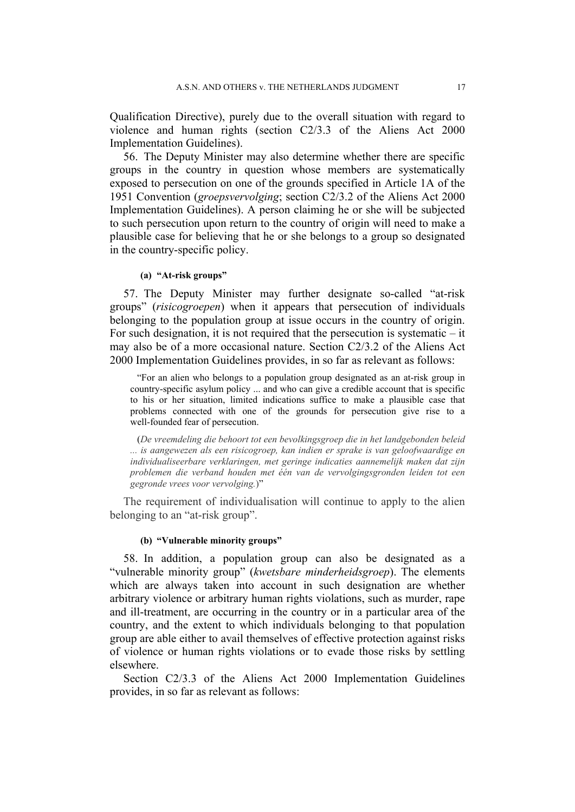Qualification Directive), purely due to the overall situation with regard to violence and human rights (section C2/3.3 of the Aliens Act 2000 Implementation Guidelines).

56. The Deputy Minister may also determine whether there are specific groups in the country in question whose members are systematically exposed to persecution on one of the grounds specified in Article 1A of the 1951 Convention (*groepsvervolging*; section C2/3.2 of the Aliens Act 2000 Implementation Guidelines). A person claiming he or she will be subjected to such persecution upon return to the country of origin will need to make a plausible case for believing that he or she belongs to a group so designated in the country-specific policy.

### **(a) "At-risk groups"**

57. The Deputy Minister may further designate so-called "at-risk groups" (*risicogroepen*) when it appears that persecution of individuals belonging to the population group at issue occurs in the country of origin. For such designation, it is not required that the persecution is systematic  $-$  it may also be of a more occasional nature. Section C2/3.2 of the Aliens Act 2000 Implementation Guidelines provides, in so far as relevant as follows:

"For an alien who belongs to a population group designated as an at-risk group in country-specific asylum policy ... and who can give a credible account that is specific to his or her situation, limited indications suffice to make a plausible case that problems connected with one of the grounds for persecution give rise to a well-founded fear of persecution.

(*De vreemdeling die behoort tot een bevolkingsgroep die in het landgebonden beleid ... is aangewezen als een risicogroep, kan indien er sprake is van geloofwaardige en individualiseerbare verklaringen, met geringe indicaties aannemelijk maken dat zijn problemen die verband houden met één van de vervolgingsgronden leiden tot een gegronde vrees voor vervolging.*)"

The requirement of individualisation will continue to apply to the alien belonging to an "at-risk group".

#### **(b) "Vulnerable minority groups"**

58. In addition, a population group can also be designated as a "vulnerable minority group" (*kwetsbare minderheidsgroep*). The elements which are always taken into account in such designation are whether arbitrary violence or arbitrary human rights violations, such as murder, rape and ill-treatment, are occurring in the country or in a particular area of the country, and the extent to which individuals belonging to that population group are able either to avail themselves of effective protection against risks of violence or human rights violations or to evade those risks by settling elsewhere.

Section C2/3.3 of the Aliens Act 2000 Implementation Guidelines provides, in so far as relevant as follows: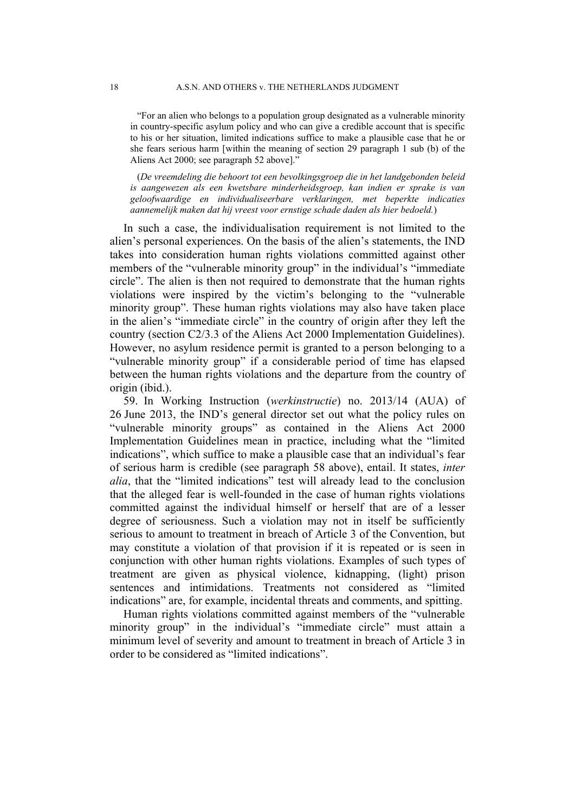"For an alien who belongs to a population group designated as a vulnerable minority in country-specific asylum policy and who can give a credible account that is specific to his or her situation, limited indications suffice to make a plausible case that he or she fears serious harm [within the meaning of section 29 paragraph 1 sub (b) of the Aliens Act 2000; see paragraph 52 above]."

(*De vreemdeling die behoort tot een bevolkingsgroep die in het landgebonden beleid is aangewezen als een kwetsbare minderheidsgroep, kan indien er sprake is van geloofwaardige en individualiseerbare verklaringen, met beperkte indicaties aannemelijk maken dat hij vreest voor ernstige schade daden als hier bedoeld.*)

In such a case, the individualisation requirement is not limited to the alien's personal experiences. On the basis of the alien's statements, the IND takes into consideration human rights violations committed against other members of the "vulnerable minority group" in the individual's "immediate circle". The alien is then not required to demonstrate that the human rights violations were inspired by the victim's belonging to the "vulnerable minority group". These human rights violations may also have taken place in the alien's "immediate circle" in the country of origin after they left the country (section C2/3.3 of the Aliens Act 2000 Implementation Guidelines). However, no asylum residence permit is granted to a person belonging to a "vulnerable minority group" if a considerable period of time has elapsed between the human rights violations and the departure from the country of origin (ibid.).

59. In Working Instruction (*werkinstructie*) no. 2013/14 (AUA) of 26 June 2013, the IND's general director set out what the policy rules on "vulnerable minority groups" as contained in the Aliens Act 2000 Implementation Guidelines mean in practice, including what the "limited indications", which suffice to make a plausible case that an individual's fear of serious harm is credible (see paragraph 58 above), entail. It states, *inter alia*, that the "limited indications" test will already lead to the conclusion that the alleged fear is well-founded in the case of human rights violations committed against the individual himself or herself that are of a lesser degree of seriousness. Such a violation may not in itself be sufficiently serious to amount to treatment in breach of Article 3 of the Convention, but may constitute a violation of that provision if it is repeated or is seen in conjunction with other human rights violations. Examples of such types of treatment are given as physical violence, kidnapping, (light) prison sentences and intimidations. Treatments not considered as "limited indications" are, for example, incidental threats and comments, and spitting.

Human rights violations committed against members of the "vulnerable minority group" in the individual's "immediate circle" must attain a minimum level of severity and amount to treatment in breach of Article 3 in order to be considered as "limited indications".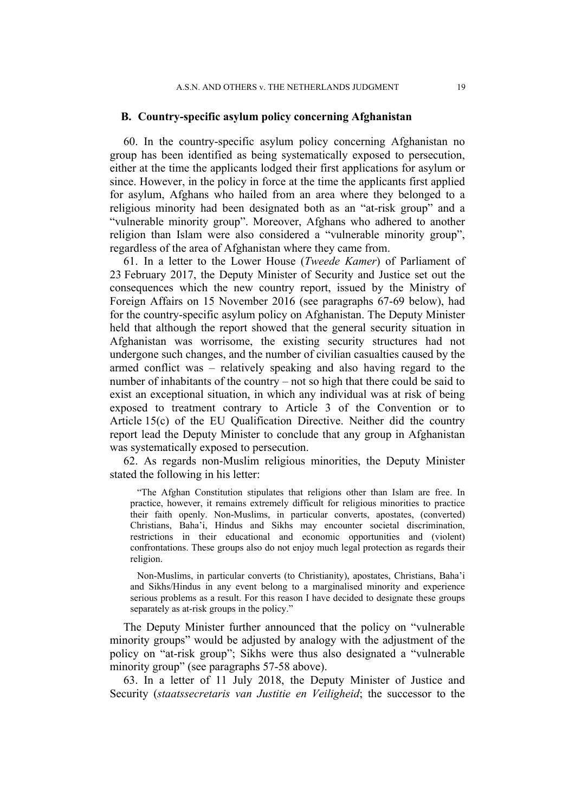### **B. Country-specific asylum policy concerning Afghanistan**

60. In the country-specific asylum policy concerning Afghanistan no group has been identified as being systematically exposed to persecution, either at the time the applicants lodged their first applications for asylum or since. However, in the policy in force at the time the applicants first applied for asylum, Afghans who hailed from an area where they belonged to a religious minority had been designated both as an "at-risk group" and a "vulnerable minority group". Moreover, Afghans who adhered to another religion than Islam were also considered a "vulnerable minority group", regardless of the area of Afghanistan where they came from.

61. In a letter to the Lower House (*Tweede Kamer*) of Parliament of 23 February 2017, the Deputy Minister of Security and Justice set out the consequences which the new country report, issued by the Ministry of Foreign Affairs on 15 November 2016 (see paragraphs 67-69 below), had for the country-specific asylum policy on Afghanistan. The Deputy Minister held that although the report showed that the general security situation in Afghanistan was worrisome, the existing security structures had not undergone such changes, and the number of civilian casualties caused by the armed conflict was – relatively speaking and also having regard to the number of inhabitants of the country – not so high that there could be said to exist an exceptional situation, in which any individual was at risk of being exposed to treatment contrary to Article 3 of the Convention or to Article 15(c) of the EU Qualification Directive. Neither did the country report lead the Deputy Minister to conclude that any group in Afghanistan was systematically exposed to persecution.

62. As regards non-Muslim religious minorities, the Deputy Minister stated the following in his letter:

"The Afghan Constitution stipulates that religions other than Islam are free. In practice, however, it remains extremely difficult for religious minorities to practice their faith openly. Non-Muslims, in particular converts, apostates, (converted) Christians, Baha'i, Hindus and Sikhs may encounter societal discrimination, restrictions in their educational and economic opportunities and (violent) confrontations. These groups also do not enjoy much legal protection as regards their religion.

Non-Muslims, in particular converts (to Christianity), apostates, Christians, Baha'i and Sikhs/Hindus in any event belong to a marginalised minority and experience serious problems as a result. For this reason I have decided to designate these groups separately as at-risk groups in the policy."

The Deputy Minister further announced that the policy on "vulnerable minority groups" would be adjusted by analogy with the adjustment of the policy on "at-risk group"; Sikhs were thus also designated a "vulnerable minority group" (see paragraphs 57-58 above).

63. In a letter of 11 July 2018, the Deputy Minister of Justice and Security (*staatssecretaris van Justitie en Veiligheid*; the successor to the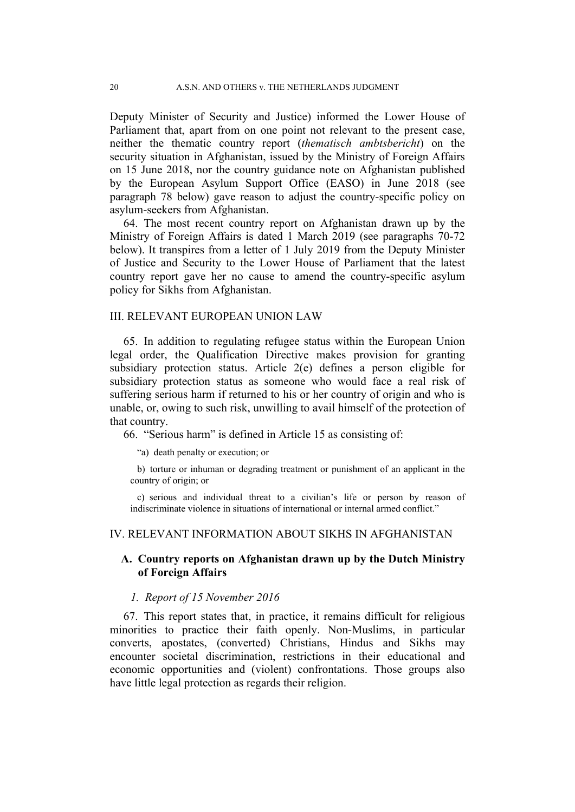Deputy Minister of Security and Justice) informed the Lower House of Parliament that, apart from on one point not relevant to the present case, neither the thematic country report (*thematisch ambtsbericht*) on the security situation in Afghanistan, issued by the Ministry of Foreign Affairs on 15 June 2018, nor the country guidance note on Afghanistan published by the European Asylum Support Office (EASO) in June 2018 (see paragraph 78 below) gave reason to adjust the country-specific policy on asylum-seekers from Afghanistan.

64. The most recent country report on Afghanistan drawn up by the Ministry of Foreign Affairs is dated 1 March 2019 (see paragraphs 70-72 below). It transpires from a letter of 1 July 2019 from the Deputy Minister of Justice and Security to the Lower House of Parliament that the latest country report gave her no cause to amend the country-specific asylum policy for Sikhs from Afghanistan.

### III. RELEVANT EUROPEAN UNION LAW

65. In addition to regulating refugee status within the European Union legal order, the Qualification Directive makes provision for granting subsidiary protection status. Article 2(e) defines a person eligible for subsidiary protection status as someone who would face a real risk of suffering serious harm if returned to his or her country of origin and who is unable, or, owing to such risk, unwilling to avail himself of the protection of that country.

66. "Serious harm" is defined in Article 15 as consisting of:

"a) death penalty or execution; or

b) torture or inhuman or degrading treatment or punishment of an applicant in the country of origin; or

c) serious and individual threat to a civilian's life or person by reason of indiscriminate violence in situations of international or internal armed conflict."

### IV. RELEVANT INFORMATION ABOUT SIKHS IN AFGHANISTAN

## **A. Country reports on Afghanistan drawn up by the Dutch Ministry of Foreign Affairs**

## *1. Report of 15 November 2016*

67. This report states that, in practice, it remains difficult for religious minorities to practice their faith openly. Non-Muslims, in particular converts, apostates, (converted) Christians, Hindus and Sikhs may encounter societal discrimination, restrictions in their educational and economic opportunities and (violent) confrontations. Those groups also have little legal protection as regards their religion.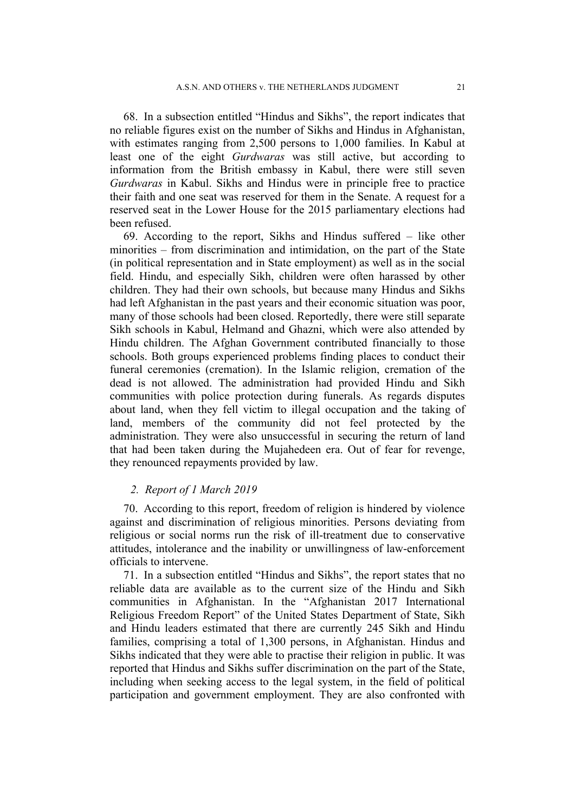68. In a subsection entitled "Hindus and Sikhs", the report indicates that no reliable figures exist on the number of Sikhs and Hindus in Afghanistan, with estimates ranging from 2,500 persons to 1,000 families. In Kabul at least one of the eight *Gurdwaras* was still active, but according to information from the British embassy in Kabul, there were still seven *Gurdwaras* in Kabul. Sikhs and Hindus were in principle free to practice their faith and one seat was reserved for them in the Senate. A request for a reserved seat in the Lower House for the 2015 parliamentary elections had been refused.

69. According to the report, Sikhs and Hindus suffered – like other minorities – from discrimination and intimidation, on the part of the State (in political representation and in State employment) as well as in the social field. Hindu, and especially Sikh, children were often harassed by other children. They had their own schools, but because many Hindus and Sikhs had left Afghanistan in the past years and their economic situation was poor, many of those schools had been closed. Reportedly, there were still separate Sikh schools in Kabul, Helmand and Ghazni, which were also attended by Hindu children. The Afghan Government contributed financially to those schools. Both groups experienced problems finding places to conduct their funeral ceremonies (cremation). In the Islamic religion, cremation of the dead is not allowed. The administration had provided Hindu and Sikh communities with police protection during funerals. As regards disputes about land, when they fell victim to illegal occupation and the taking of land, members of the community did not feel protected by the administration. They were also unsuccessful in securing the return of land that had been taken during the Mujahedeen era. Out of fear for revenge, they renounced repayments provided by law.

### *2. Report of 1 March 2019*

70. According to this report, freedom of religion is hindered by violence against and discrimination of religious minorities. Persons deviating from religious or social norms run the risk of ill-treatment due to conservative attitudes, intolerance and the inability or unwillingness of law-enforcement officials to intervene.

71. In a subsection entitled "Hindus and Sikhs", the report states that no reliable data are available as to the current size of the Hindu and Sikh communities in Afghanistan. In the "Afghanistan 2017 International Religious Freedom Report" of the United States Department of State, Sikh and Hindu leaders estimated that there are currently 245 Sikh and Hindu families, comprising a total of 1,300 persons, in Afghanistan. Hindus and Sikhs indicated that they were able to practise their religion in public. It was reported that Hindus and Sikhs suffer discrimination on the part of the State, including when seeking access to the legal system, in the field of political participation and government employment. They are also confronted with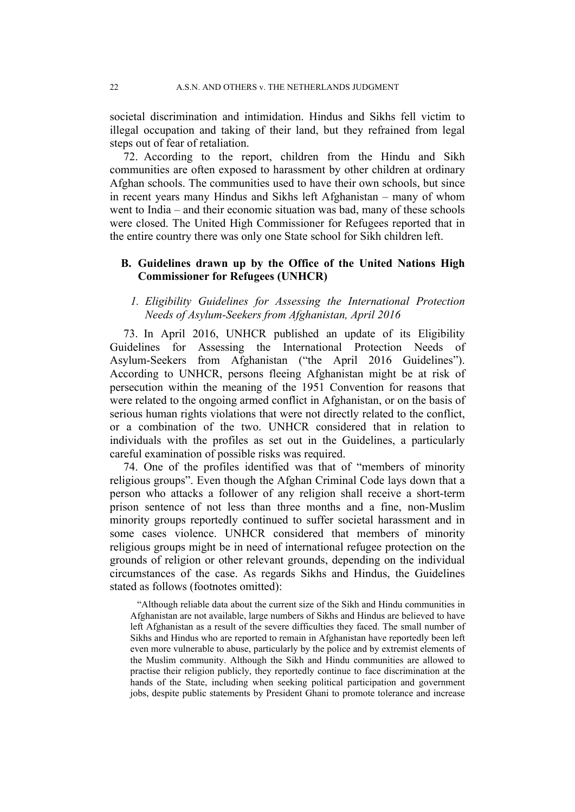societal discrimination and intimidation. Hindus and Sikhs fell victim to illegal occupation and taking of their land, but they refrained from legal steps out of fear of retaliation.

72. According to the report, children from the Hindu and Sikh communities are often exposed to harassment by other children at ordinary Afghan schools. The communities used to have their own schools, but since in recent years many Hindus and Sikhs left Afghanistan – many of whom went to India – and their economic situation was bad, many of these schools were closed. The United High Commissioner for Refugees reported that in the entire country there was only one State school for Sikh children left.

## **B. Guidelines drawn up by the Office of the United Nations High Commissioner for Refugees (UNHCR)**

## *1. Eligibility Guidelines for Assessing the International Protection Needs of Asylum-Seekers from Afghanistan, April 2016*

73. In April 2016, UNHCR published an update of its Eligibility Guidelines for Assessing the International Protection Needs of Asylum-Seekers from Afghanistan ("the April 2016 Guidelines"). According to UNHCR, persons fleeing Afghanistan might be at risk of persecution within the meaning of the 1951 Convention for reasons that were related to the ongoing armed conflict in Afghanistan, or on the basis of serious human rights violations that were not directly related to the conflict, or a combination of the two. UNHCR considered that in relation to individuals with the profiles as set out in the Guidelines, a particularly careful examination of possible risks was required.

74. One of the profiles identified was that of "members of minority religious groups". Even though the Afghan Criminal Code lays down that a person who attacks a follower of any religion shall receive a short-term prison sentence of not less than three months and a fine, non-Muslim minority groups reportedly continued to suffer societal harassment and in some cases violence. UNHCR considered that members of minority religious groups might be in need of international refugee protection on the grounds of religion or other relevant grounds, depending on the individual circumstances of the case. As regards Sikhs and Hindus, the Guidelines stated as follows (footnotes omitted):

"Although reliable data about the current size of the Sikh and Hindu communities in Afghanistan are not available, large numbers of Sikhs and Hindus are believed to have left Afghanistan as a result of the severe difficulties they faced. The small number of Sikhs and Hindus who are reported to remain in Afghanistan have reportedly been left even more vulnerable to abuse, particularly by the police and by extremist elements of the Muslim community. Although the Sikh and Hindu communities are allowed to practise their religion publicly, they reportedly continue to face discrimination at the hands of the State, including when seeking political participation and government jobs, despite public statements by President Ghani to promote tolerance and increase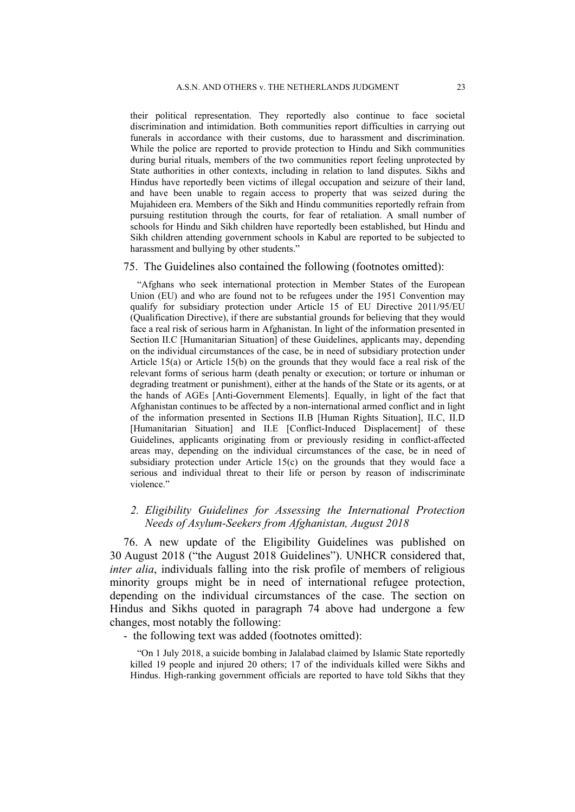their political representation. They reportedly also continue to face societal discrimination and intimidation. Both communities report difficulties in carrying out funerals in accordance with their customs, due to harassment and discrimination. While the police are reported to provide protection to Hindu and Sikh communities during burial rituals, members of the two communities report feeling unprotected by State authorities in other contexts, including in relation to land disputes. Sikhs and Hindus have reportedly been victims of illegal occupation and seizure of their land, and have been unable to regain access to property that was seized during the Mujahideen era. Members of the Sikh and Hindu communities reportedly refrain from pursuing restitution through the courts, for fear of retaliation. A small number of schools for Hindu and Sikh children have reportedly been established, but Hindu and Sikh children attending government schools in Kabul are reported to be subjected to harassment and bullying by other students."

#### 75. The Guidelines also contained the following (footnotes omitted):

"Afghans who seek international protection in Member States of the European Union (EU) and who are found not to be refugees under the 1951 Convention may qualify for subsidiary protection under Article 15 of EU Directive 2011/95/EU (Qualification Directive), if there are substantial grounds for believing that they would face a real risk of serious harm in Afghanistan. In light of the information presented in Section II.C [Humanitarian Situation] of these Guidelines, applicants may, depending on the individual circumstances of the case, be in need of subsidiary protection under Article 15(a) or Article 15(b) on the grounds that they would face a real risk of the relevant forms of serious harm (death penalty or execution; or torture or inhuman or degrading treatment or punishment), either at the hands of the State or its agents, or at the hands of AGEs [Anti-Government Elements]. Equally, in light of the fact that Afghanistan continues to be affected by a non-international armed conflict and in light of the information presented in Sections II.B [Human Rights Situation], II.C, II.D [Humanitarian Situation] and II.E [Conflict-Induced Displacement] of these Guidelines, applicants originating from or previously residing in conflict-affected areas may, depending on the individual circumstances of the case, be in need of subsidiary protection under Article 15(c) on the grounds that they would face a serious and individual threat to their life or person by reason of indiscriminate violence."

## *2. Eligibility Guidelines for Assessing the International Protection Needs of Asylum-Seekers from Afghanistan, August 2018*

76. A new update of the Eligibility Guidelines was published on 30 August 2018 ("the August 2018 Guidelines"). UNHCR considered that, *inter alia*, individuals falling into the risk profile of members of religious minority groups might be in need of international refugee protection, depending on the individual circumstances of the case. The section on Hindus and Sikhs quoted in paragraph 74 above had undergone a few changes, most notably the following:

- the following text was added (footnotes omitted):

"On 1 July 2018, a suicide bombing in Jalalabad claimed by Islamic State reportedly killed 19 people and injured 20 others; 17 of the individuals killed were Sikhs and Hindus. High-ranking government officials are reported to have told Sikhs that they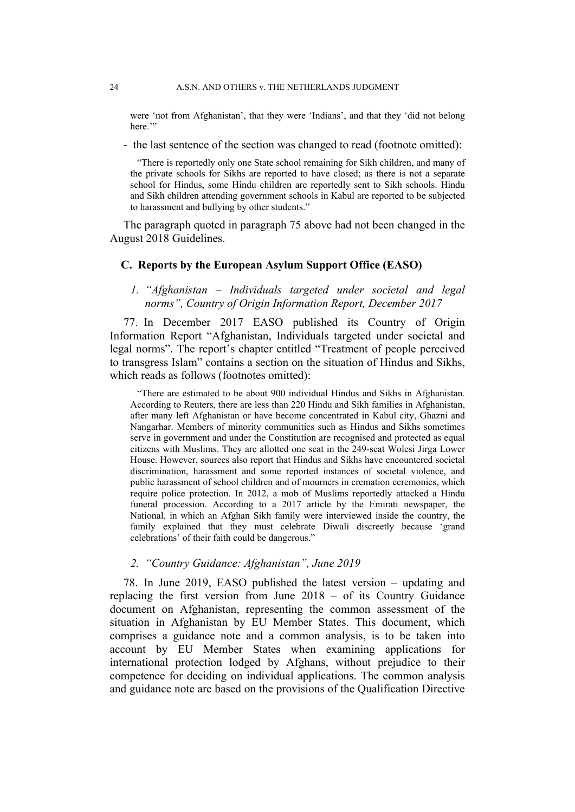were 'not from Afghanistan', that they were 'Indians', and that they 'did not belong here."

- the last sentence of the section was changed to read (footnote omitted):

"There is reportedly only one State school remaining for Sikh children, and many of the private schools for Sikhs are reported to have closed; as there is not a separate school for Hindus, some Hindu children are reportedly sent to Sikh schools. Hindu and Sikh children attending government schools in Kabul are reported to be subjected to harassment and bullying by other students."

The paragraph quoted in paragraph 75 above had not been changed in the August 2018 Guidelines.

### **C. Reports by the European Asylum Support Office (EASO)**

*1. "Afghanistan – Individuals targeted under societal and legal norms", Country of Origin Information Report, December 2017*

77. In December 2017 EASO published its Country of Origin Information Report "Afghanistan, Individuals targeted under societal and legal norms". The report's chapter entitled "Treatment of people perceived to transgress Islam" contains a section on the situation of Hindus and Sikhs, which reads as follows (footnotes omitted):

"There are estimated to be about 900 individual Hindus and Sikhs in Afghanistan. According to Reuters, there are less than 220 Hindu and Sikh families in Afghanistan, after many left Afghanistan or have become concentrated in Kabul city, Ghazni and Nangarhar. Members of minority communities such as Hindus and Sikhs sometimes serve in government and under the Constitution are recognised and protected as equal citizens with Muslims. They are allotted one seat in the 249-seat Wolesi Jirga Lower House. However, sources also report that Hindus and Sikhs have encountered societal discrimination, harassment and some reported instances of societal violence, and public harassment of school children and of mourners in cremation ceremonies, which require police protection. In 2012, a mob of Muslims reportedly attacked a Hindu funeral procession. According to a 2017 article by the Emirati newspaper, the National, in which an Afghan Sikh family were interviewed inside the country, the family explained that they must celebrate Diwali discreetly because 'grand celebrations' of their faith could be dangerous."

### *2. "Country Guidance: Afghanistan", June 2019*

78. In June 2019, EASO published the latest version – updating and replacing the first version from June 2018 – of its Country Guidance document on Afghanistan, representing the common assessment of the situation in Afghanistan by EU Member States. This document, which comprises a guidance note and a common analysis, is to be taken into account by EU Member States when examining applications for international protection lodged by Afghans, without prejudice to their competence for deciding on individual applications. The common analysis and guidance note are based on the provisions of the Qualification Directive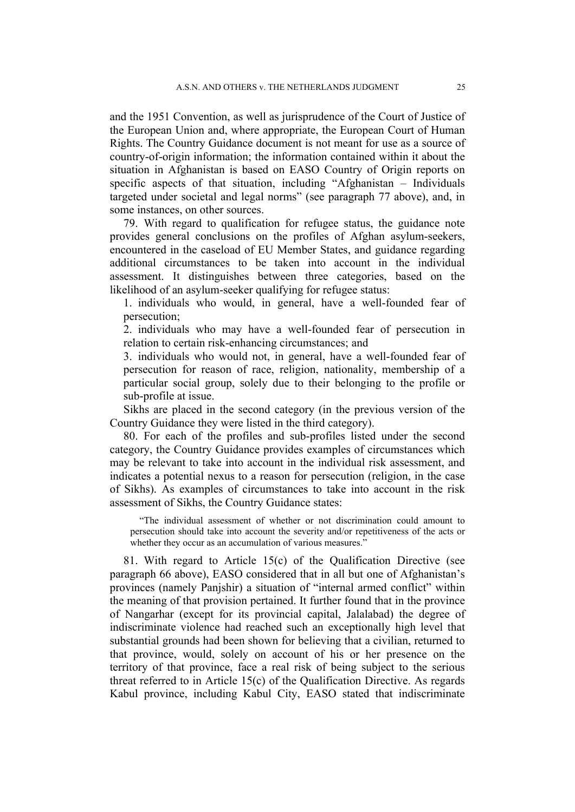and the 1951 Convention, as well as jurisprudence of the Court of Justice of the European Union and, where appropriate, the European Court of Human Rights. The Country Guidance document is not meant for use as a source of country-of-origin information; the information contained within it about the situation in Afghanistan is based on EASO Country of Origin reports on specific aspects of that situation, including "Afghanistan – Individuals targeted under societal and legal norms" (see paragraph 77 above), and, in some instances, on other sources.

79. With regard to qualification for refugee status, the guidance note provides general conclusions on the profiles of Afghan asylum-seekers, encountered in the caseload of EU Member States, and guidance regarding additional circumstances to be taken into account in the individual assessment. It distinguishes between three categories, based on the likelihood of an asylum-seeker qualifying for refugee status:

1. individuals who would, in general, have a well-founded fear of persecution;

2. individuals who may have a well-founded fear of persecution in relation to certain risk-enhancing circumstances; and

3. individuals who would not, in general, have a well-founded fear of persecution for reason of race, religion, nationality, membership of a particular social group, solely due to their belonging to the profile or sub-profile at issue.

Sikhs are placed in the second category (in the previous version of the Country Guidance they were listed in the third category).

80. For each of the profiles and sub-profiles listed under the second category, the Country Guidance provides examples of circumstances which may be relevant to take into account in the individual risk assessment, and indicates a potential nexus to a reason for persecution (religion, in the case of Sikhs). As examples of circumstances to take into account in the risk assessment of Sikhs, the Country Guidance states:

"The individual assessment of whether or not discrimination could amount to persecution should take into account the severity and/or repetitiveness of the acts or whether they occur as an accumulation of various measures."

81. With regard to Article 15(c) of the Qualification Directive (see paragraph 66 above), EASO considered that in all but one of Afghanistan's provinces (namely Panjshir) a situation of "internal armed conflict" within the meaning of that provision pertained. It further found that in the province of Nangarhar (except for its provincial capital, Jalalabad) the degree of indiscriminate violence had reached such an exceptionally high level that substantial grounds had been shown for believing that a civilian, returned to that province, would, solely on account of his or her presence on the territory of that province, face a real risk of being subject to the serious threat referred to in Article 15(c) of the Qualification Directive. As regards Kabul province, including Kabul City, EASO stated that indiscriminate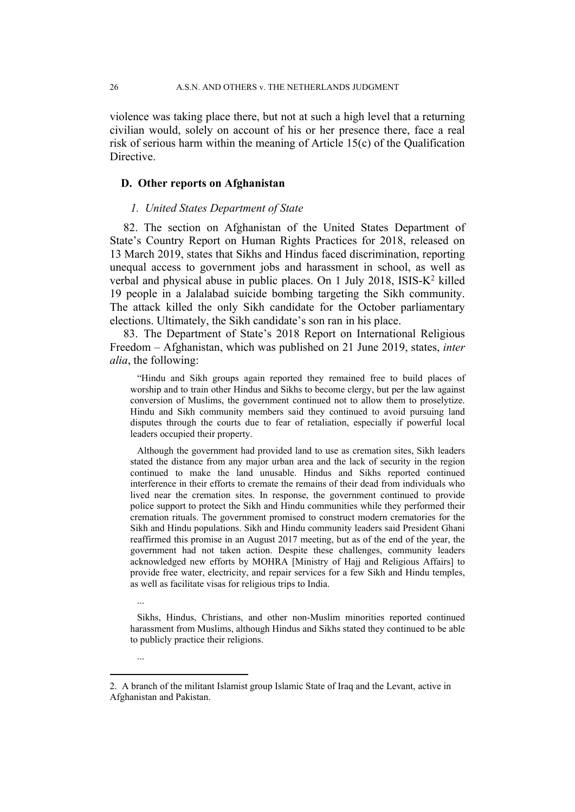violence was taking place there, but not at such a high level that a returning civilian would, solely on account of his or her presence there, face a real risk of serious harm within the meaning of Article 15(c) of the Qualification Directive.

### **D. Other reports on Afghanistan**

...

...

### *1. United States Department of State*

82. The section on Afghanistan of the United States Department of State's Country Report on Human Rights Practices for 2018, released on 13 March 2019, states that Sikhs and Hindus faced discrimination, reporting unequal access to government jobs and harassment in school, as well as verbal and physical abuse in public places. On 1 July 2018, ISIS-K<sup>2</sup> killed 19 people in a Jalalabad suicide bombing targeting the Sikh community. The attack killed the only Sikh candidate for the October parliamentary elections. Ultimately, the Sikh candidate's son ran in his place.

83. The Department of State's 2018 Report on International Religious Freedom – Afghanistan, which was published on 21 June 2019, states, *inter alia*, the following:

"Hindu and Sikh groups again reported they remained free to build places of worship and to train other Hindus and Sikhs to become clergy, but per the law against conversion of Muslims, the government continued not to allow them to proselytize. Hindu and Sikh community members said they continued to avoid pursuing land disputes through the courts due to fear of retaliation, especially if powerful local leaders occupied their property.

Although the government had provided land to use as cremation sites, Sikh leaders stated the distance from any major urban area and the lack of security in the region continued to make the land unusable. Hindus and Sikhs reported continued interference in their efforts to cremate the remains of their dead from individuals who lived near the cremation sites. In response, the government continued to provide police support to protect the Sikh and Hindu communities while they performed their cremation rituals. The government promised to construct modern crematories for the Sikh and Hindu populations. Sikh and Hindu community leaders said President Ghani reaffirmed this promise in an August 2017 meeting, but as of the end of the year, the government had not taken action. Despite these challenges, community leaders acknowledged new efforts by MOHRA [Ministry of Hajj and Religious Affairs] to provide free water, electricity, and repair services for a few Sikh and Hindu temples, as well as facilitate visas for religious trips to India.

Sikhs, Hindus, Christians, and other non-Muslim minorities reported continued harassment from Muslims, although Hindus and Sikhs stated they continued to be able to publicly practice their religions.

<sup>2.</sup> A branch of the militant Islamist group Islamic State of Iraq and the Levant, active in Afghanistan and Pakistan.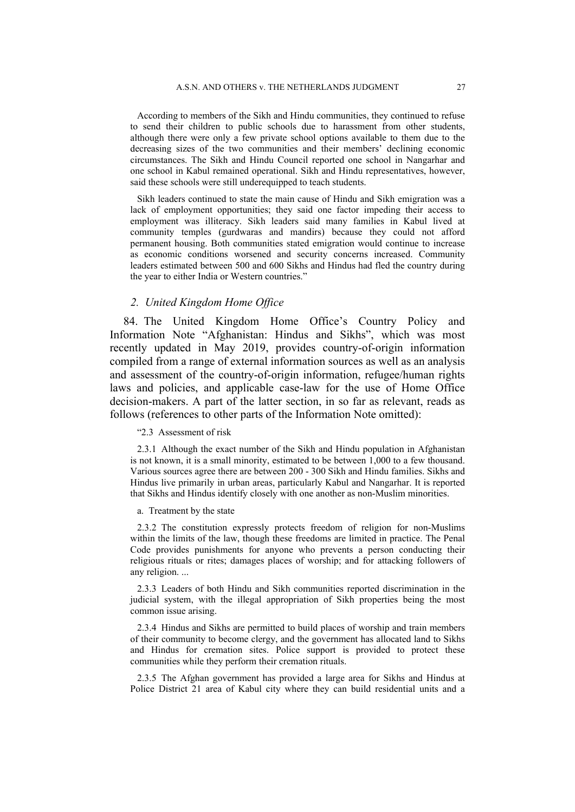According to members of the Sikh and Hindu communities, they continued to refuse to send their children to public schools due to harassment from other students, although there were only a few private school options available to them due to the decreasing sizes of the two communities and their members' declining economic circumstances. The Sikh and Hindu Council reported one school in Nangarhar and one school in Kabul remained operational. Sikh and Hindu representatives, however, said these schools were still underequipped to teach students.

Sikh leaders continued to state the main cause of Hindu and Sikh emigration was a lack of employment opportunities; they said one factor impeding their access to employment was illiteracy. Sikh leaders said many families in Kabul lived at community temples (gurdwaras and mandirs) because they could not afford permanent housing. Both communities stated emigration would continue to increase as economic conditions worsened and security concerns increased. Community leaders estimated between 500 and 600 Sikhs and Hindus had fled the country during the year to either India or Western countries."

### *2. United Kingdom Home Office*

84. The United Kingdom Home Office's Country Policy and Information Note "Afghanistan: Hindus and Sikhs", which was most recently updated in May 2019, provides country-of-origin information compiled from a range of external information sources as well as an analysis and assessment of the country-of-origin information, refugee/human rights laws and policies, and applicable case-law for the use of Home Office decision-makers. A part of the latter section, in so far as relevant, reads as follows (references to other parts of the Information Note omitted):

#### "2.3 Assessment of risk

2.3.1 Although the exact number of the Sikh and Hindu population in Afghanistan is not known, it is a small minority, estimated to be between 1,000 to a few thousand. Various sources agree there are between 200 - 300 Sikh and Hindu families. Sikhs and Hindus live primarily in urban areas, particularly Kabul and Nangarhar. It is reported that Sikhs and Hindus identify closely with one another as non-Muslim minorities.

#### a. Treatment by the state

2.3.2 The constitution expressly protects freedom of religion for non-Muslims within the limits of the law, though these freedoms are limited in practice. The Penal Code provides punishments for anyone who prevents a person conducting their religious rituals or rites; damages places of worship; and for attacking followers of any religion. ...

2.3.3 Leaders of both Hindu and Sikh communities reported discrimination in the judicial system, with the illegal appropriation of Sikh properties being the most common issue arising.

2.3.4 Hindus and Sikhs are permitted to build places of worship and train members of their community to become clergy, and the government has allocated land to Sikhs and Hindus for cremation sites. Police support is provided to protect these communities while they perform their cremation rituals.

2.3.5 The Afghan government has provided a large area for Sikhs and Hindus at Police District 21 area of Kabul city where they can build residential units and a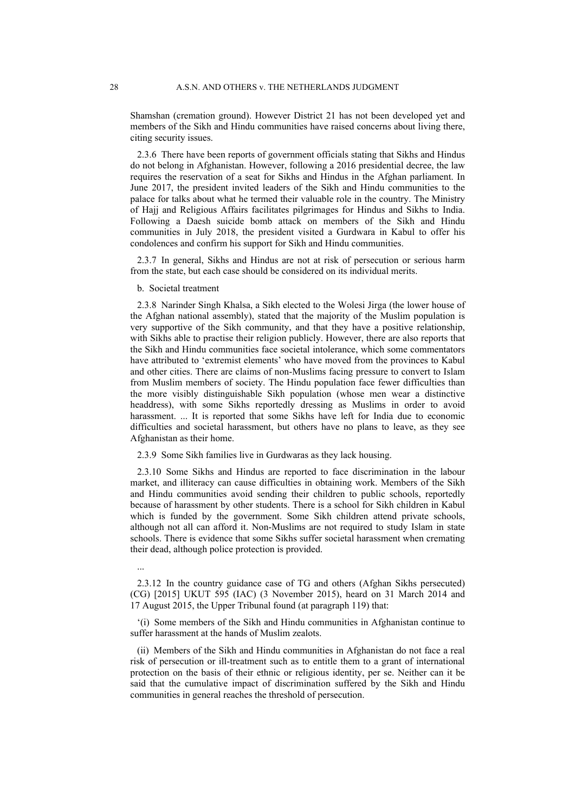Shamshan (cremation ground). However District 21 has not been developed yet and members of the Sikh and Hindu communities have raised concerns about living there, citing security issues.

2.3.6 There have been reports of government officials stating that Sikhs and Hindus do not belong in Afghanistan. However, following a 2016 presidential decree, the law requires the reservation of a seat for Sikhs and Hindus in the Afghan parliament. In June 2017, the president invited leaders of the Sikh and Hindu communities to the palace for talks about what he termed their valuable role in the country. The Ministry of Hajj and Religious Affairs facilitates pilgrimages for Hindus and Sikhs to India. Following a Daesh suicide bomb attack on members of the Sikh and Hindu communities in July 2018, the president visited a Gurdwara in Kabul to offer his condolences and confirm his support for Sikh and Hindu communities.

2.3.7 In general, Sikhs and Hindus are not at risk of persecution or serious harm from the state, but each case should be considered on its individual merits.

b. Societal treatment

2.3.8 Narinder Singh Khalsa, a Sikh elected to the Wolesi Jirga (the lower house of the Afghan national assembly), stated that the majority of the Muslim population is very supportive of the Sikh community, and that they have a positive relationship, with Sikhs able to practise their religion publicly. However, there are also reports that the Sikh and Hindu communities face societal intolerance, which some commentators have attributed to 'extremist elements' who have moved from the provinces to Kabul and other cities. There are claims of non-Muslims facing pressure to convert to Islam from Muslim members of society. The Hindu population face fewer difficulties than the more visibly distinguishable Sikh population (whose men wear a distinctive headdress), with some Sikhs reportedly dressing as Muslims in order to avoid harassment. ... It is reported that some Sikhs have left for India due to economic difficulties and societal harassment, but others have no plans to leave, as they see Afghanistan as their home.

2.3.9 Some Sikh families live in Gurdwaras as they lack housing.

2.3.10 Some Sikhs and Hindus are reported to face discrimination in the labour market, and illiteracy can cause difficulties in obtaining work. Members of the Sikh and Hindu communities avoid sending their children to public schools, reportedly because of harassment by other students. There is a school for Sikh children in Kabul which is funded by the government. Some Sikh children attend private schools, although not all can afford it. Non-Muslims are not required to study Islam in state schools. There is evidence that some Sikhs suffer societal harassment when cremating their dead, although police protection is provided.

...

2.3.12 In the country guidance case of TG and others (Afghan Sikhs persecuted) (CG) [2015] UKUT 595 (IAC) (3 November 2015), heard on 31 March 2014 and 17 August 2015, the Upper Tribunal found (at paragraph 119) that:

'(i) Some members of the Sikh and Hindu communities in Afghanistan continue to suffer harassment at the hands of Muslim zealots.

(ii) Members of the Sikh and Hindu communities in Afghanistan do not face a real risk of persecution or ill-treatment such as to entitle them to a grant of international protection on the basis of their ethnic or religious identity, per se. Neither can it be said that the cumulative impact of discrimination suffered by the Sikh and Hindu communities in general reaches the threshold of persecution.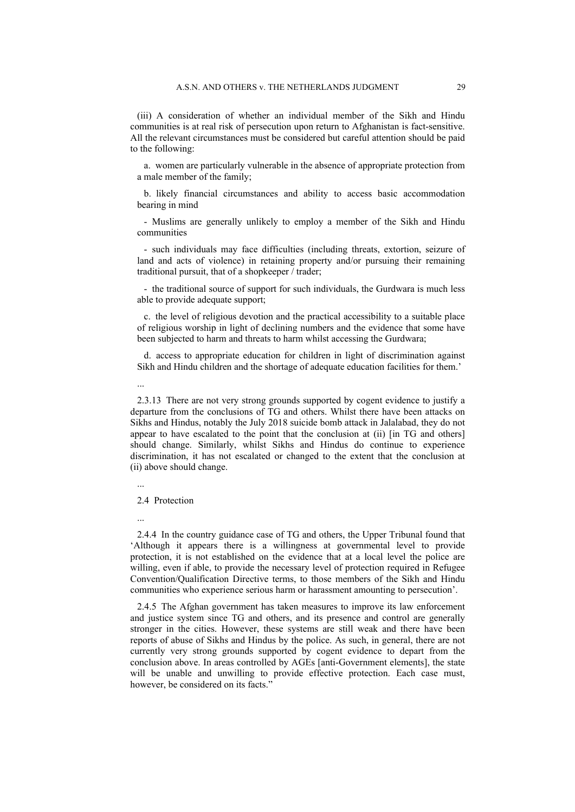(iii) A consideration of whether an individual member of the Sikh and Hindu communities is at real risk of persecution upon return to Afghanistan is fact-sensitive. All the relevant circumstances must be considered but careful attention should be paid to the following:

a. women are particularly vulnerable in the absence of appropriate protection from a male member of the family;

b. likely financial circumstances and ability to access basic accommodation bearing in mind

- Muslims are generally unlikely to employ a member of the Sikh and Hindu communities

- such individuals may face difficulties (including threats, extortion, seizure of land and acts of violence) in retaining property and/or pursuing their remaining traditional pursuit, that of a shopkeeper / trader;

- the traditional source of support for such individuals, the Gurdwara is much less able to provide adequate support;

c. the level of religious devotion and the practical accessibility to a suitable place of religious worship in light of declining numbers and the evidence that some have been subjected to harm and threats to harm whilst accessing the Gurdwara;

d. access to appropriate education for children in light of discrimination against Sikh and Hindu children and the shortage of adequate education facilities for them.'

2.3.13 There are not very strong grounds supported by cogent evidence to justify a departure from the conclusions of TG and others. Whilst there have been attacks on Sikhs and Hindus, notably the July 2018 suicide bomb attack in Jalalabad, they do not appear to have escalated to the point that the conclusion at (ii) [in TG and others] should change. Similarly, whilst Sikhs and Hindus do continue to experience discrimination, it has not escalated or changed to the extent that the conclusion at (ii) above should change.

...

...

2.4 Protection

...

2.4.4 In the country guidance case of TG and others, the Upper Tribunal found that 'Although it appears there is a willingness at governmental level to provide protection, it is not established on the evidence that at a local level the police are willing, even if able, to provide the necessary level of protection required in Refugee Convention/Qualification Directive terms, to those members of the Sikh and Hindu communities who experience serious harm or harassment amounting to persecution'.

2.4.5 The Afghan government has taken measures to improve its law enforcement and justice system since TG and others, and its presence and control are generally stronger in the cities. However, these systems are still weak and there have been reports of abuse of Sikhs and Hindus by the police. As such, in general, there are not currently very strong grounds supported by cogent evidence to depart from the conclusion above. In areas controlled by AGEs [anti-Government elements], the state will be unable and unwilling to provide effective protection. Each case must, however, be considered on its facts."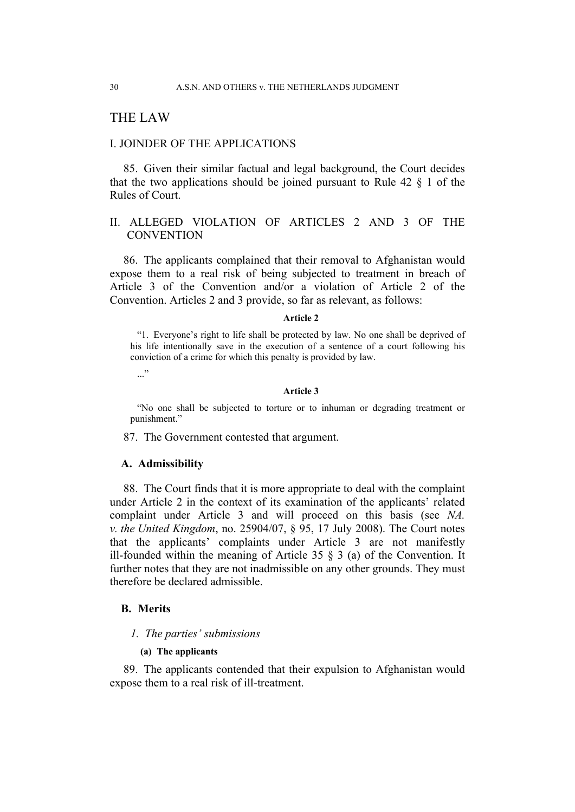## THE LAW

### I. JOINDER OF THE APPLICATIONS

85. Given their similar factual and legal background, the Court decides that the two applications should be joined pursuant to Rule  $42 \S 1$  of the Rules of Court.

## II. ALLEGED VIOLATION OF ARTICLES 2 AND 3 OF THE **CONVENTION**

86. The applicants complained that their removal to Afghanistan would expose them to a real risk of being subjected to treatment in breach of Article 3 of the Convention and/or a violation of Article 2 of the Convention. Articles 2 and 3 provide, so far as relevant, as follows:

#### **Article 2**

"1. Everyone's right to life shall be protected by law. No one shall be deprived of his life intentionally save in the execution of a sentence of a court following his conviction of a crime for which this penalty is provided by law.

..."

#### **Article 3**

"No one shall be subjected to torture or to inhuman or degrading treatment or punishment."

87. The Government contested that argument.

### **A. Admissibility**

88. The Court finds that it is more appropriate to deal with the complaint under Article 2 in the context of its examination of the applicants' related complaint under Article 3 and will proceed on this basis (see *NA. v. the United Kingdom*, no. 25904/07, § 95, 17 July 2008). The Court notes that the applicants' complaints under Article 3 are not manifestly ill-founded within the meaning of Article 35  $\S$  3 (a) of the Convention. It further notes that they are not inadmissible on any other grounds. They must therefore be declared admissible.

### **B. Merits**

#### *1. The parties' submissions*

#### **(a) The applicants**

89. The applicants contended that their expulsion to Afghanistan would expose them to a real risk of ill-treatment.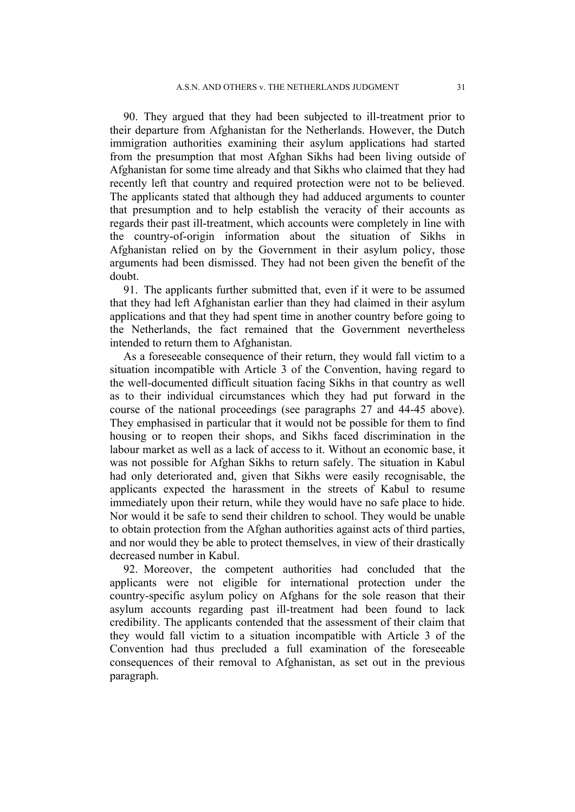90. They argued that they had been subjected to ill-treatment prior to their departure from Afghanistan for the Netherlands. However, the Dutch immigration authorities examining their asylum applications had started from the presumption that most Afghan Sikhs had been living outside of Afghanistan for some time already and that Sikhs who claimed that they had recently left that country and required protection were not to be believed. The applicants stated that although they had adduced arguments to counter that presumption and to help establish the veracity of their accounts as regards their past ill-treatment, which accounts were completely in line with the country-of-origin information about the situation of Sikhs in Afghanistan relied on by the Government in their asylum policy, those arguments had been dismissed. They had not been given the benefit of the doubt.

91. The applicants further submitted that, even if it were to be assumed that they had left Afghanistan earlier than they had claimed in their asylum applications and that they had spent time in another country before going to the Netherlands, the fact remained that the Government nevertheless intended to return them to Afghanistan.

As a foreseeable consequence of their return, they would fall victim to a situation incompatible with Article 3 of the Convention, having regard to the well-documented difficult situation facing Sikhs in that country as well as to their individual circumstances which they had put forward in the course of the national proceedings (see paragraphs 27 and 44-45 above). They emphasised in particular that it would not be possible for them to find housing or to reopen their shops, and Sikhs faced discrimination in the labour market as well as a lack of access to it. Without an economic base, it was not possible for Afghan Sikhs to return safely. The situation in Kabul had only deteriorated and, given that Sikhs were easily recognisable, the applicants expected the harassment in the streets of Kabul to resume immediately upon their return, while they would have no safe place to hide. Nor would it be safe to send their children to school. They would be unable to obtain protection from the Afghan authorities against acts of third parties, and nor would they be able to protect themselves, in view of their drastically decreased number in Kabul.

92. Moreover, the competent authorities had concluded that the applicants were not eligible for international protection under the country-specific asylum policy on Afghans for the sole reason that their asylum accounts regarding past ill-treatment had been found to lack credibility. The applicants contended that the assessment of their claim that they would fall victim to a situation incompatible with Article 3 of the Convention had thus precluded a full examination of the foreseeable consequences of their removal to Afghanistan, as set out in the previous paragraph.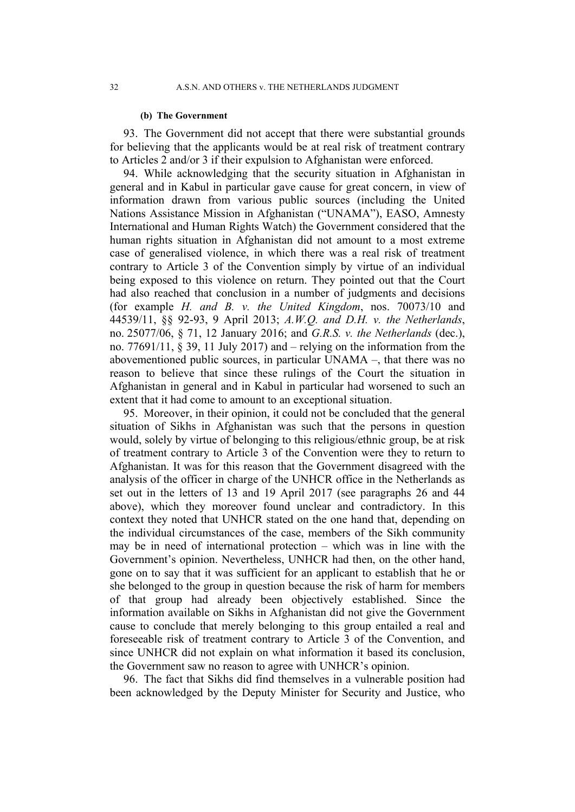#### **(b) The Government**

93. The Government did not accept that there were substantial grounds for believing that the applicants would be at real risk of treatment contrary to Articles 2 and/or 3 if their expulsion to Afghanistan were enforced.

94. While acknowledging that the security situation in Afghanistan in general and in Kabul in particular gave cause for great concern, in view of information drawn from various public sources (including the United Nations Assistance Mission in Afghanistan ("UNAMA"), EASO, Amnesty International and Human Rights Watch) the Government considered that the human rights situation in Afghanistan did not amount to a most extreme case of generalised violence, in which there was a real risk of treatment contrary to Article 3 of the Convention simply by virtue of an individual being exposed to this violence on return. They pointed out that the Court had also reached that conclusion in a number of judgments and decisions (for example *H. and B. v. the United Kingdom*, nos. 70073/10 and 44539/11, §§ 92-93, 9 April 2013; *A.W.Q. and D.H. v. the Netherlands*, no. 25077/06, § 71, 12 January 2016; and *G.R.S. v. the Netherlands* (dec.), no. 77691/11,  $\S$  39, 11 July 2017) and – relying on the information from the abovementioned public sources, in particular UNAMA –, that there was no reason to believe that since these rulings of the Court the situation in Afghanistan in general and in Kabul in particular had worsened to such an extent that it had come to amount to an exceptional situation.

95. Moreover, in their opinion, it could not be concluded that the general situation of Sikhs in Afghanistan was such that the persons in question would, solely by virtue of belonging to this religious/ethnic group, be at risk of treatment contrary to Article 3 of the Convention were they to return to Afghanistan. It was for this reason that the Government disagreed with the analysis of the officer in charge of the UNHCR office in the Netherlands as set out in the letters of 13 and 19 April 2017 (see paragraphs 26 and 44 above), which they moreover found unclear and contradictory. In this context they noted that UNHCR stated on the one hand that, depending on the individual circumstances of the case, members of the Sikh community may be in need of international protection  $-$  which was in line with the Government's opinion. Nevertheless, UNHCR had then, on the other hand, gone on to say that it was sufficient for an applicant to establish that he or she belonged to the group in question because the risk of harm for members of that group had already been objectively established. Since the information available on Sikhs in Afghanistan did not give the Government cause to conclude that merely belonging to this group entailed a real and foreseeable risk of treatment contrary to Article 3 of the Convention, and since UNHCR did not explain on what information it based its conclusion, the Government saw no reason to agree with UNHCR's opinion.

96. The fact that Sikhs did find themselves in a vulnerable position had been acknowledged by the Deputy Minister for Security and Justice, who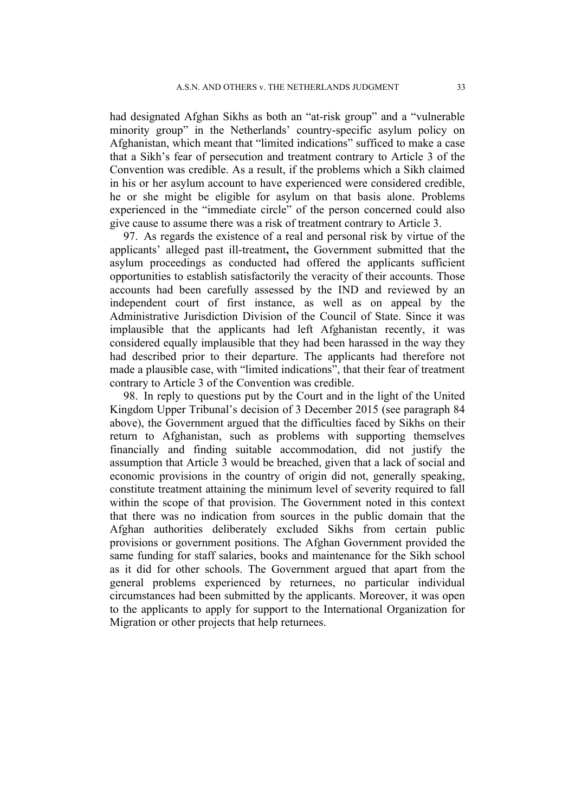had designated Afghan Sikhs as both an "at-risk group" and a "vulnerable minority group" in the Netherlands' country-specific asylum policy on Afghanistan, which meant that "limited indications" sufficed to make a case that a Sikh's fear of persecution and treatment contrary to Article 3 of the Convention was credible. As a result, if the problems which a Sikh claimed in his or her asylum account to have experienced were considered credible, he or she might be eligible for asylum on that basis alone. Problems experienced in the "immediate circle" of the person concerned could also give cause to assume there was a risk of treatment contrary to Article 3.

97. As regards the existence of a real and personal risk by virtue of the applicants' alleged past ill-treatment**,** the Government submitted that the asylum proceedings as conducted had offered the applicants sufficient opportunities to establish satisfactorily the veracity of their accounts. Those accounts had been carefully assessed by the IND and reviewed by an independent court of first instance, as well as on appeal by the Administrative Jurisdiction Division of the Council of State. Since it was implausible that the applicants had left Afghanistan recently, it was considered equally implausible that they had been harassed in the way they had described prior to their departure. The applicants had therefore not made a plausible case, with "limited indications", that their fear of treatment contrary to Article 3 of the Convention was credible.

98. In reply to questions put by the Court and in the light of the United Kingdom Upper Tribunal's decision of 3 December 2015 (see paragraph 84 above), the Government argued that the difficulties faced by Sikhs on their return to Afghanistan, such as problems with supporting themselves financially and finding suitable accommodation, did not justify the assumption that Article 3 would be breached, given that a lack of social and economic provisions in the country of origin did not, generally speaking, constitute treatment attaining the minimum level of severity required to fall within the scope of that provision. The Government noted in this context that there was no indication from sources in the public domain that the Afghan authorities deliberately excluded Sikhs from certain public provisions or government positions. The Afghan Government provided the same funding for staff salaries, books and maintenance for the Sikh school as it did for other schools. The Government argued that apart from the general problems experienced by returnees, no particular individual circumstances had been submitted by the applicants. Moreover, it was open to the applicants to apply for support to the International Organization for Migration or other projects that help returnees.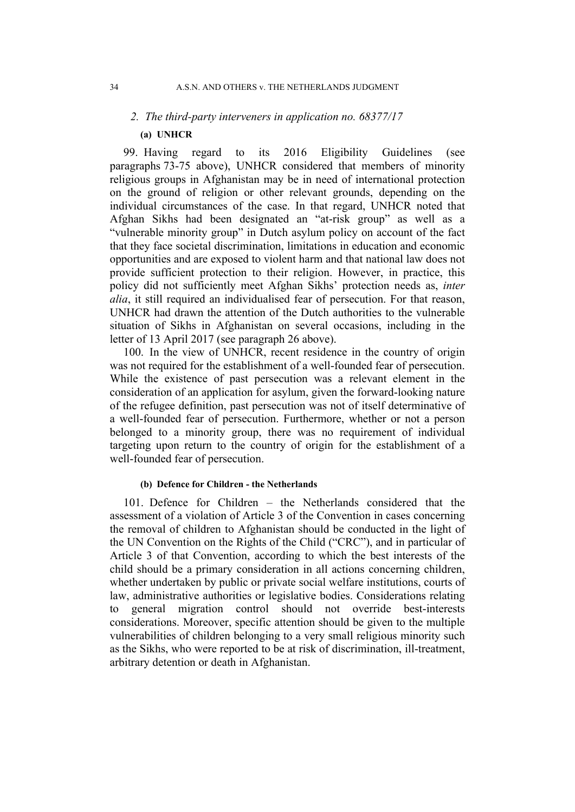## *2. The third-party interveners in application no. 68377/17*

### **(a) UNHCR**

99. Having regard to its 2016 Eligibility Guidelines (see paragraphs 73-75 above), UNHCR considered that members of minority religious groups in Afghanistan may be in need of international protection on the ground of religion or other relevant grounds, depending on the individual circumstances of the case. In that regard, UNHCR noted that Afghan Sikhs had been designated an "at-risk group" as well as a "vulnerable minority group" in Dutch asylum policy on account of the fact that they face societal discrimination, limitations in education and economic opportunities and are exposed to violent harm and that national law does not provide sufficient protection to their religion. However, in practice, this policy did not sufficiently meet Afghan Sikhs' protection needs as, *inter alia*, it still required an individualised fear of persecution. For that reason, UNHCR had drawn the attention of the Dutch authorities to the vulnerable situation of Sikhs in Afghanistan on several occasions, including in the letter of 13 April 2017 (see paragraph 26 above).

100. In the view of UNHCR, recent residence in the country of origin was not required for the establishment of a well-founded fear of persecution. While the existence of past persecution was a relevant element in the consideration of an application for asylum, given the forward-looking nature of the refugee definition, past persecution was not of itself determinative of a well-founded fear of persecution. Furthermore, whether or not a person belonged to a minority group, there was no requirement of individual targeting upon return to the country of origin for the establishment of a well-founded fear of persecution.

### **(b) Defence for Children - the Netherlands**

101. Defence for Children – the Netherlands considered that the assessment of a violation of Article 3 of the Convention in cases concerning the removal of children to Afghanistan should be conducted in the light of the UN Convention on the Rights of the Child ("CRC"), and in particular of Article 3 of that Convention, according to which the best interests of the child should be a primary consideration in all actions concerning children, whether undertaken by public or private social welfare institutions, courts of law, administrative authorities or legislative bodies. Considerations relating to general migration control should not override best-interests considerations. Moreover, specific attention should be given to the multiple vulnerabilities of children belonging to a very small religious minority such as the Sikhs, who were reported to be at risk of discrimination, ill-treatment, arbitrary detention or death in Afghanistan.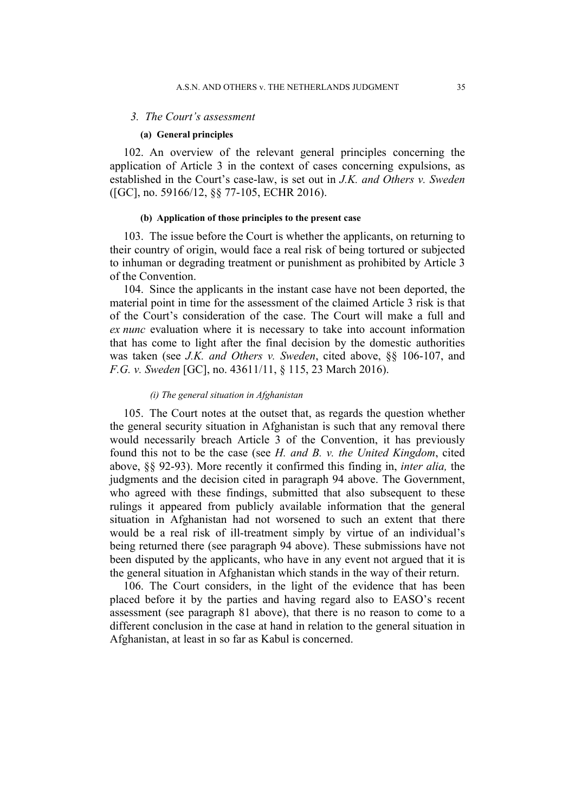#### *3. The Court's assessment*

#### **(a) General principles**

102. An overview of the relevant general principles concerning the application of Article 3 in the context of cases concerning expulsions, as established in the Court's case-law, is set out in *J.K. and Others v. Sweden* ([GC], no. 59166/12, §§ 77-105, ECHR 2016).

#### **(b) Application of those principles to the present case**

103. The issue before the Court is whether the applicants, on returning to their country of origin, would face a real risk of being tortured or subjected to inhuman or degrading treatment or punishment as prohibited by Article 3 of the Convention.

104. Since the applicants in the instant case have not been deported, the material point in time for the assessment of the claimed Article 3 risk is that of the Court's consideration of the case. The Court will make a full and *ex nunc* evaluation where it is necessary to take into account information that has come to light after the final decision by the domestic authorities was taken (see *J.K. and Others v. Sweden*, cited above, §§ 106-107, and *F.G. v. Sweden* [GC], no. 43611/11, § 115, 23 March 2016).

#### *(i) The general situation in Afghanistan*

105. The Court notes at the outset that, as regards the question whether the general security situation in Afghanistan is such that any removal there would necessarily breach Article 3 of the Convention, it has previously found this not to be the case (see *H. and B. v. the United Kingdom*, cited above, §§ 92-93). More recently it confirmed this finding in, *inter alia,* the judgments and the decision cited in paragraph 94 above. The Government, who agreed with these findings, submitted that also subsequent to these rulings it appeared from publicly available information that the general situation in Afghanistan had not worsened to such an extent that there would be a real risk of ill-treatment simply by virtue of an individual's being returned there (see paragraph 94 above). These submissions have not been disputed by the applicants, who have in any event not argued that it is the general situation in Afghanistan which stands in the way of their return.

106. The Court considers, in the light of the evidence that has been placed before it by the parties and having regard also to EASO's recent assessment (see paragraph 81 above), that there is no reason to come to a different conclusion in the case at hand in relation to the general situation in Afghanistan, at least in so far as Kabul is concerned.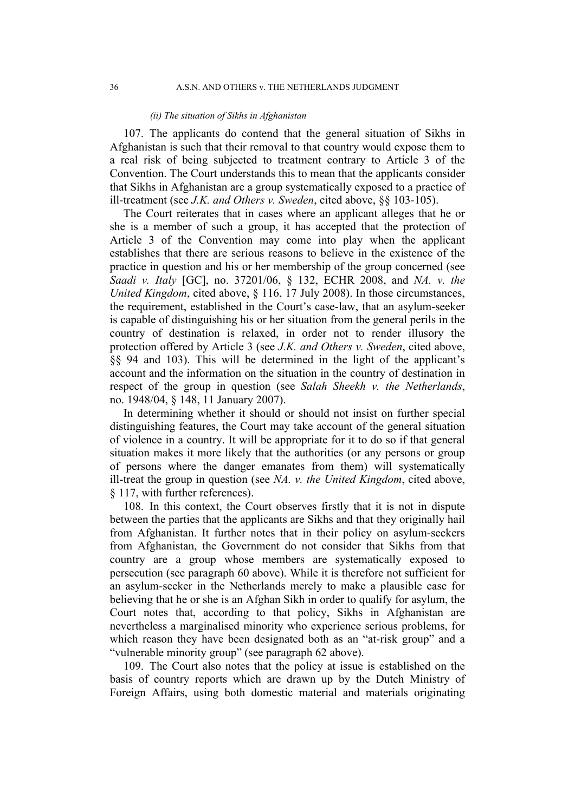#### *(ii) The situation of Sikhs in Afghanistan*

107. The applicants do contend that the general situation of Sikhs in Afghanistan is such that their removal to that country would expose them to a real risk of being subjected to treatment contrary to Article 3 of the Convention. The Court understands this to mean that the applicants consider that Sikhs in Afghanistan are a group systematically exposed to a practice of ill-treatment (see *J.K. and Others v. Sweden*, cited above, §§ 103-105).

The Court reiterates that in cases where an applicant alleges that he or she is a member of such a group, it has accepted that the protection of Article 3 of the Convention may come into play when the applicant establishes that there are serious reasons to believe in the existence of the practice in question and his or her membership of the group concerned (see *Saadi v. Italy* [GC], no. 37201/06, § 132, ECHR 2008, and *NA. v. the United Kingdom*, cited above, § 116, 17 July 2008). In those circumstances, the requirement, established in the Court's case-law, that an asylum-seeker is capable of distinguishing his or her situation from the general perils in the country of destination is relaxed, in order not to render illusory the protection offered by Article 3 (see *J.K. and Others v. Sweden*, cited above, §§ 94 and 103). This will be determined in the light of the applicant's account and the information on the situation in the country of destination in respect of the group in question (see *Salah Sheekh v. the Netherlands*, no. 1948/04, § 148, 11 January 2007).

In determining whether it should or should not insist on further special distinguishing features, the Court may take account of the general situation of violence in a country. It will be appropriate for it to do so if that general situation makes it more likely that the authorities (or any persons or group of persons where the danger emanates from them) will systematically ill-treat the group in question (see *NA. v. the United Kingdom*, cited above, § 117, with further references).

108. In this context, the Court observes firstly that it is not in dispute between the parties that the applicants are Sikhs and that they originally hail from Afghanistan. It further notes that in their policy on asylum-seekers from Afghanistan, the Government do not consider that Sikhs from that country are a group whose members are systematically exposed to persecution (see paragraph 60 above). While it is therefore not sufficient for an asylum-seeker in the Netherlands merely to make a plausible case for believing that he or she is an Afghan Sikh in order to qualify for asylum, the Court notes that, according to that policy, Sikhs in Afghanistan are nevertheless a marginalised minority who experience serious problems, for which reason they have been designated both as an "at-risk group" and a "vulnerable minority group" (see paragraph 62 above).

109. The Court also notes that the policy at issue is established on the basis of country reports which are drawn up by the Dutch Ministry of Foreign Affairs, using both domestic material and materials originating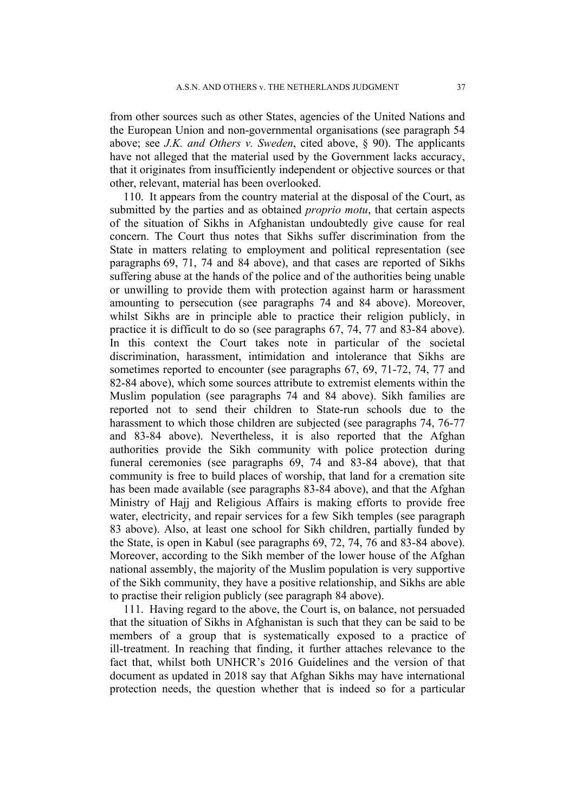from other sources such as other States, agencies of the United Nations and the European Union and non-governmental organisations (see paragraph 54 above; see *J.K. and Others v. Sweden*, cited above, § 90). The applicants have not alleged that the material used by the Government lacks accuracy, that it originates from insufficiently independent or objective sources or that other, relevant, material has been overlooked.

110. It appears from the country material at the disposal of the Court, as submitted by the parties and as obtained *proprio motu*, that certain aspects of the situation of Sikhs in Afghanistan undoubtedly give cause for real concern. The Court thus notes that Sikhs suffer discrimination from the State in matters relating to employment and political representation (see paragraphs 69, 71, 74 and 84 above), and that cases are reported of Sikhs suffering abuse at the hands of the police and of the authorities being unable or unwilling to provide them with protection against harm or harassment amounting to persecution (see paragraphs 74 and 84 above). Moreover, whilst Sikhs are in principle able to practice their religion publicly, in practice it is difficult to do so (see paragraphs 67, 74, 77 and 83-84 above). In this context the Court takes note in particular of the societal discrimination, harassment, intimidation and intolerance that Sikhs are sometimes reported to encounter (see paragraphs 67, 69, 71-72, 74, 77 and 82-84 above), which some sources attribute to extremist elements within the Muslim population (see paragraphs 74 and 84 above). Sikh families are reported not to send their children to State-run schools due to the harassment to which those children are subjected (see paragraphs 74, 76-77 and 83-84 above). Nevertheless, it is also reported that the Afghan authorities provide the Sikh community with police protection during funeral ceremonies (see paragraphs 69, 74 and 83-84 above), that that community is free to build places of worship, that land for a cremation site has been made available (see paragraphs 83-84 above), and that the Afghan Ministry of Hajj and Religious Affairs is making efforts to provide free water, electricity, and repair services for a few Sikh temples (see paragraph 83 above). Also, at least one school for Sikh children, partially funded by the State, is open in Kabul (see paragraphs 69, 72, 74, 76 and 83-84 above). Moreover, according to the Sikh member of the lower house of the Afghan national assembly, the majority of the Muslim population is very supportive of the Sikh community, they have a positive relationship, and Sikhs are able to practise their religion publicly (see paragraph 84 above).

111. Having regard to the above, the Court is, on balance, not persuaded that the situation of Sikhs in Afghanistan is such that they can be said to be members of a group that is systematically exposed to a practice of ill-treatment. In reaching that finding, it further attaches relevance to the fact that, whilst both UNHCR's 2016 Guidelines and the version of that document as updated in 2018 say that Afghan Sikhs may have international protection needs, the question whether that is indeed so for a particular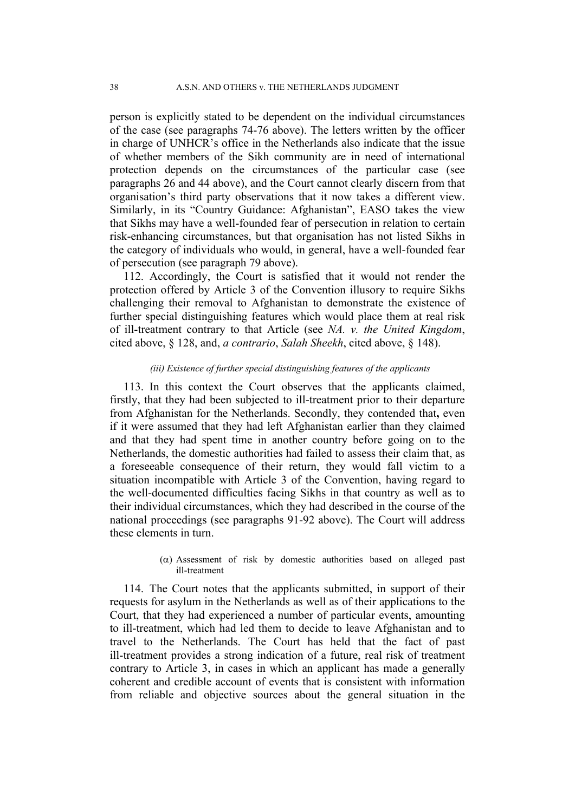person is explicitly stated to be dependent on the individual circumstances of the case (see paragraphs 74-76 above). The letters written by the officer in charge of UNHCR's office in the Netherlands also indicate that the issue of whether members of the Sikh community are in need of international protection depends on the circumstances of the particular case (see paragraphs 26 and 44 above), and the Court cannot clearly discern from that organisation's third party observations that it now takes a different view. Similarly, in its "Country Guidance: Afghanistan", EASO takes the view that Sikhs may have a well-founded fear of persecution in relation to certain risk-enhancing circumstances, but that organisation has not listed Sikhs in the category of individuals who would, in general, have a well-founded fear of persecution (see paragraph 79 above).

112. Accordingly, the Court is satisfied that it would not render the protection offered by Article 3 of the Convention illusory to require Sikhs challenging their removal to Afghanistan to demonstrate the existence of further special distinguishing features which would place them at real risk of ill-treatment contrary to that Article (see *NA. v. the United Kingdom*, cited above, § 128, and, *a contrario*, *Salah Sheekh*, cited above, § 148).

### *(iii) Existence of further special distinguishing features of the applicants*

113. In this context the Court observes that the applicants claimed, firstly, that they had been subjected to ill-treatment prior to their departure from Afghanistan for the Netherlands. Secondly, they contended that**,** even if it were assumed that they had left Afghanistan earlier than they claimed and that they had spent time in another country before going on to the Netherlands, the domestic authorities had failed to assess their claim that, as a foreseeable consequence of their return, they would fall victim to a situation incompatible with Article 3 of the Convention, having regard to the well-documented difficulties facing Sikhs in that country as well as to their individual circumstances, which they had described in the course of the national proceedings (see paragraphs 91-92 above). The Court will address these elements in turn.

> $(\alpha)$  Assessment of risk by domestic authorities based on alleged past ill-treatment

114. The Court notes that the applicants submitted, in support of their requests for asylum in the Netherlands as well as of their applications to the Court, that they had experienced a number of particular events, amounting to ill-treatment, which had led them to decide to leave Afghanistan and to travel to the Netherlands. The Court has held that the fact of past ill-treatment provides a strong indication of a future, real risk of treatment contrary to Article 3, in cases in which an applicant has made a generally coherent and credible account of events that is consistent with information from reliable and objective sources about the general situation in the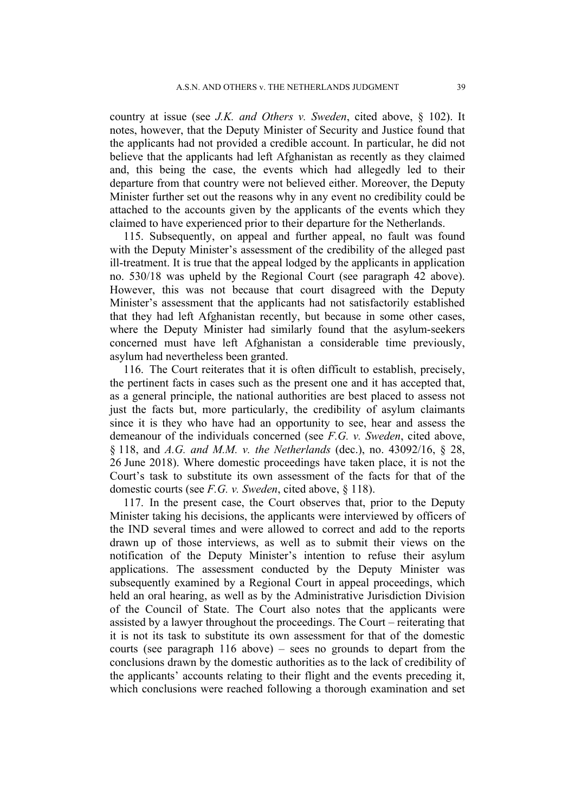country at issue (see *J.K. and Others v. Sweden*, cited above, § 102). It notes, however, that the Deputy Minister of Security and Justice found that the applicants had not provided a credible account. In particular, he did not believe that the applicants had left Afghanistan as recently as they claimed and, this being the case, the events which had allegedly led to their departure from that country were not believed either. Moreover, the Deputy Minister further set out the reasons why in any event no credibility could be attached to the accounts given by the applicants of the events which they claimed to have experienced prior to their departure for the Netherlands.

115. Subsequently, on appeal and further appeal, no fault was found with the Deputy Minister's assessment of the credibility of the alleged past ill-treatment. It is true that the appeal lodged by the applicants in application no. 530/18 was upheld by the Regional Court (see paragraph 42 above). However, this was not because that court disagreed with the Deputy Minister's assessment that the applicants had not satisfactorily established that they had left Afghanistan recently, but because in some other cases, where the Deputy Minister had similarly found that the asylum-seekers concerned must have left Afghanistan a considerable time previously, asylum had nevertheless been granted.

116. The Court reiterates that it is often difficult to establish, precisely, the pertinent facts in cases such as the present one and it has accepted that, as a general principle, the national authorities are best placed to assess not just the facts but, more particularly, the credibility of asylum claimants since it is they who have had an opportunity to see, hear and assess the demeanour of the individuals concerned (see *F.G. v. Sweden*, cited above, § 118, and *A.G. and M.M. v. the Netherlands* (dec.), no. 43092/16, § 28, 26 June 2018). Where domestic proceedings have taken place, it is not the Court's task to substitute its own assessment of the facts for that of the domestic courts (see *F.G. v. Sweden*, cited above, § 118).

117. In the present case, the Court observes that, prior to the Deputy Minister taking his decisions, the applicants were interviewed by officers of the IND several times and were allowed to correct and add to the reports drawn up of those interviews, as well as to submit their views on the notification of the Deputy Minister's intention to refuse their asylum applications. The assessment conducted by the Deputy Minister was subsequently examined by a Regional Court in appeal proceedings, which held an oral hearing, as well as by the Administrative Jurisdiction Division of the Council of State. The Court also notes that the applicants were assisted by a lawyer throughout the proceedings. The Court – reiterating that it is not its task to substitute its own assessment for that of the domestic courts (see paragraph 116 above) – sees no grounds to depart from the conclusions drawn by the domestic authorities as to the lack of credibility of the applicants' accounts relating to their flight and the events preceding it, which conclusions were reached following a thorough examination and set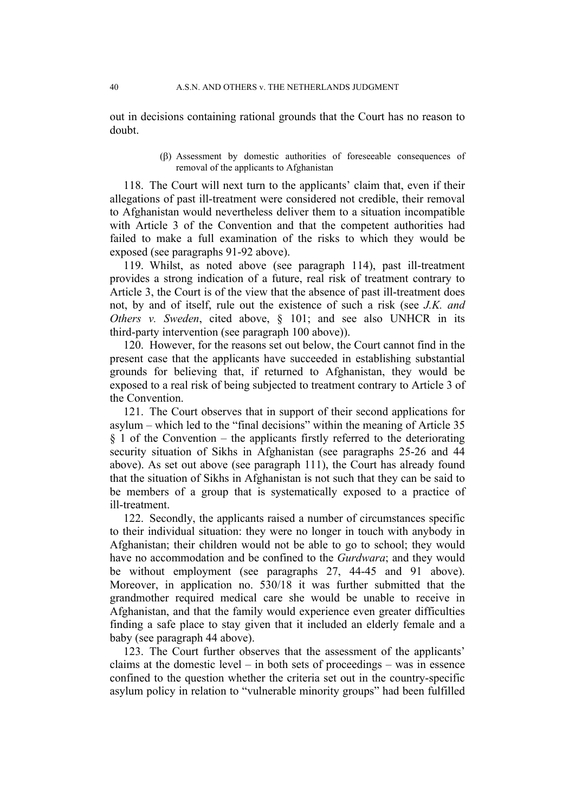out in decisions containing rational grounds that the Court has no reason to doubt.

> Assessment by domestic authorities of foreseeable consequences of removal of the applicants to Afghanistan

118. The Court will next turn to the applicants' claim that, even if their allegations of past ill-treatment were considered not credible, their removal to Afghanistan would nevertheless deliver them to a situation incompatible with Article 3 of the Convention and that the competent authorities had failed to make a full examination of the risks to which they would be exposed (see paragraphs 91-92 above).

119. Whilst, as noted above (see paragraph 114), past ill-treatment provides a strong indication of a future, real risk of treatment contrary to Article 3, the Court is of the view that the absence of past ill-treatment does not, by and of itself, rule out the existence of such a risk (see *J.K. and Others v. Sweden*, cited above, § 101; and see also UNHCR in its third-party intervention (see paragraph 100 above)).

120. However, for the reasons set out below, the Court cannot find in the present case that the applicants have succeeded in establishing substantial grounds for believing that, if returned to Afghanistan, they would be exposed to a real risk of being subjected to treatment contrary to Article 3 of the Convention.

121. The Court observes that in support of their second applications for asylum – which led to the "final decisions" within the meaning of Article 35  $§$  1 of the Convention – the applicants firstly referred to the deteriorating security situation of Sikhs in Afghanistan (see paragraphs 25-26 and 44 above). As set out above (see paragraph 111), the Court has already found that the situation of Sikhs in Afghanistan is not such that they can be said to be members of a group that is systematically exposed to a practice of ill-treatment.

122. Secondly, the applicants raised a number of circumstances specific to their individual situation: they were no longer in touch with anybody in Afghanistan; their children would not be able to go to school; they would have no accommodation and be confined to the *Gurdwara*; and they would be without employment (see paragraphs 27, 44-45 and 91 above). Moreover, in application no. 530/18 it was further submitted that the grandmother required medical care she would be unable to receive in Afghanistan, and that the family would experience even greater difficulties finding a safe place to stay given that it included an elderly female and a baby (see paragraph 44 above).

123. The Court further observes that the assessment of the applicants' claims at the domestic level – in both sets of proceedings – was in essence confined to the question whether the criteria set out in the country-specific asylum policy in relation to "vulnerable minority groups" had been fulfilled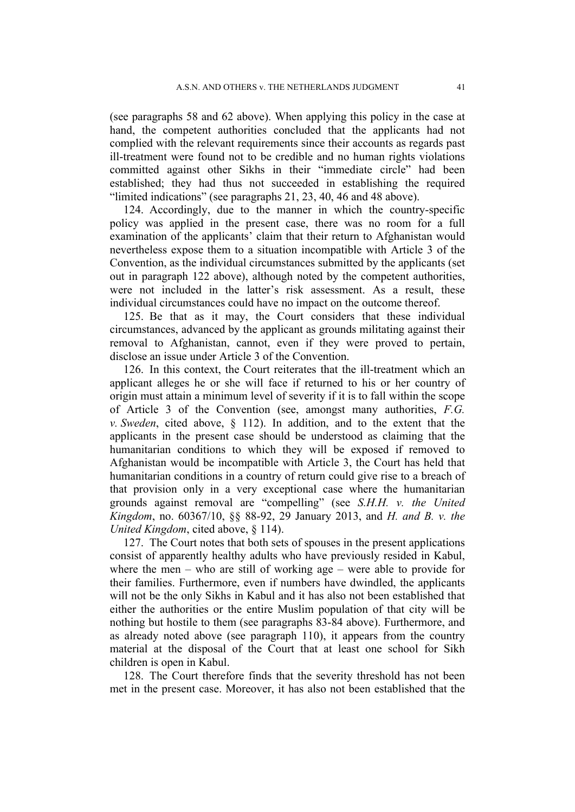(see paragraphs 58 and 62 above). When applying this policy in the case at hand, the competent authorities concluded that the applicants had not complied with the relevant requirements since their accounts as regards past ill-treatment were found not to be credible and no human rights violations committed against other Sikhs in their "immediate circle" had been established; they had thus not succeeded in establishing the required "limited indications" (see paragraphs 21, 23, 40, 46 and 48 above).

124. Accordingly, due to the manner in which the country-specific policy was applied in the present case, there was no room for a full examination of the applicants' claim that their return to Afghanistan would nevertheless expose them to a situation incompatible with Article 3 of the Convention, as the individual circumstances submitted by the applicants (set out in paragraph 122 above), although noted by the competent authorities, were not included in the latter's risk assessment. As a result, these individual circumstances could have no impact on the outcome thereof.

125. Be that as it may, the Court considers that these individual circumstances, advanced by the applicant as grounds militating against their removal to Afghanistan, cannot, even if they were proved to pertain, disclose an issue under Article 3 of the Convention.

126. In this context, the Court reiterates that the ill-treatment which an applicant alleges he or she will face if returned to his or her country of origin must attain a minimum level of severity if it is to fall within the scope of Article 3 of the Convention (see, amongst many authorities, *F.G. v. Sweden*, cited above, § 112). In addition, and to the extent that the applicants in the present case should be understood as claiming that the humanitarian conditions to which they will be exposed if removed to Afghanistan would be incompatible with Article 3, the Court has held that humanitarian conditions in a country of return could give rise to a breach of that provision only in a very exceptional case where the humanitarian grounds against removal are "compelling" (see *S.H.H. v. the United Kingdom*, no. 60367/10, §§ 88-92, 29 January 2013, and *H. and B. v. the United Kingdom*, cited above, § 114).

127. The Court notes that both sets of spouses in the present applications consist of apparently healthy adults who have previously resided in Kabul, where the men – who are still of working age – were able to provide for their families. Furthermore, even if numbers have dwindled, the applicants will not be the only Sikhs in Kabul and it has also not been established that either the authorities or the entire Muslim population of that city will be nothing but hostile to them (see paragraphs 83-84 above). Furthermore, and as already noted above (see paragraph 110), it appears from the country material at the disposal of the Court that at least one school for Sikh children is open in Kabul.

128. The Court therefore finds that the severity threshold has not been met in the present case. Moreover, it has also not been established that the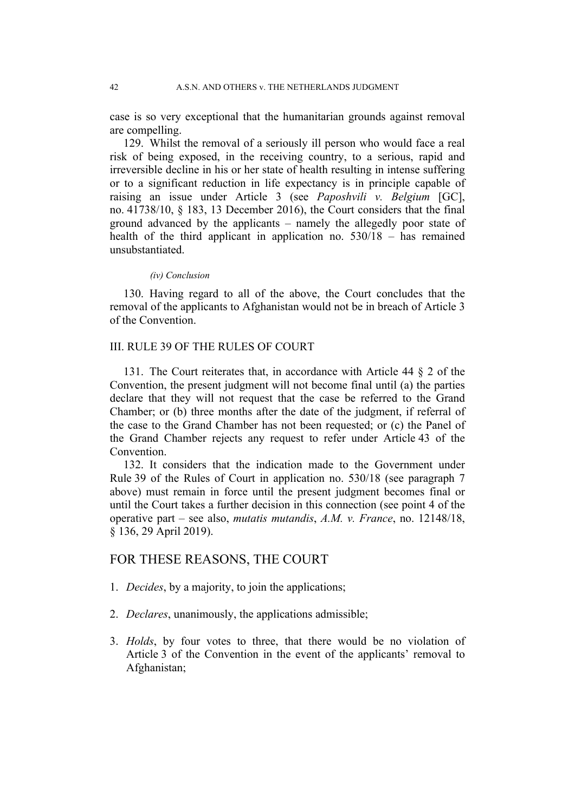case is so very exceptional that the humanitarian grounds against removal are compelling.

129. Whilst the removal of a seriously ill person who would face a real risk of being exposed, in the receiving country, to a serious, rapid and irreversible decline in his or her state of health resulting in intense suffering or to a significant reduction in life expectancy is in principle capable of raising an issue under Article 3 (see *Paposhvili v. Belgium* [GC], no. 41738/10, § 183, 13 December 2016), the Court considers that the final ground advanced by the applicants – namely the allegedly poor state of health of the third applicant in application no. 530/18 – has remained unsubstantiated.

*(iv) Conclusion*

130. Having regard to all of the above, the Court concludes that the removal of the applicants to Afghanistan would not be in breach of Article 3 of the Convention.

## III. RULE 39 OF THE RULES OF COURT

131. The Court reiterates that, in accordance with Article 44 § 2 of the Convention, the present judgment will not become final until (a) the parties declare that they will not request that the case be referred to the Grand Chamber; or (b) three months after the date of the judgment, if referral of the case to the Grand Chamber has not been requested; or (c) the Panel of the Grand Chamber rejects any request to refer under Article 43 of the **Convention** 

132. It considers that the indication made to the Government under Rule 39 of the Rules of Court in application no. 530/18 (see paragraph 7 above) must remain in force until the present judgment becomes final or until the Court takes a further decision in this connection (see point 4 of the operative part – see also, *mutatis mutandis*, *A.M. v. France*, no. 12148/18, § 136, 29 April 2019).

## FOR THESE REASONS, THE COURT

- 1. *Decides*, by a majority, to join the applications;
- 2. *Declares*, unanimously, the applications admissible;
- 3. *Holds*, by four votes to three, that there would be no violation of Article 3 of the Convention in the event of the applicants' removal to Afghanistan;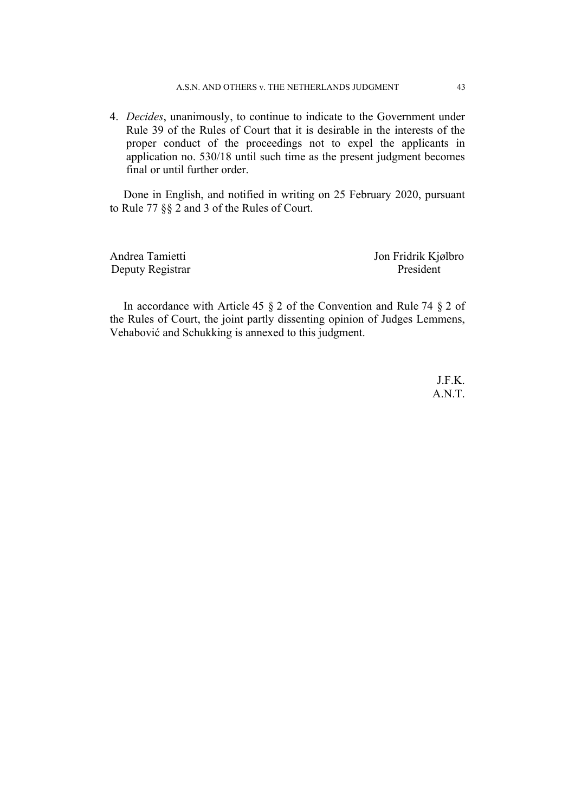4. *Decides*, unanimously, to continue to indicate to the Government under Rule 39 of the Rules of Court that it is desirable in the interests of the proper conduct of the proceedings not to expel the applicants in application no. 530/18 until such time as the present judgment becomes final or until further order.

Done in English, and notified in writing on 25 February 2020, pursuant to Rule 77 §§ 2 and 3 of the Rules of Court.

Andrea Tamietti Jon Fridrik Kjølbro Deputy Registrar President

In accordance with Article 45  $\S$  2 of the Convention and Rule 74  $\S$  2 of the Rules of Court, the joint partly dissenting opinion of Judges Lemmens, Vehabović and Schukking is annexed to this judgment.

> J.F.K. A.N.T.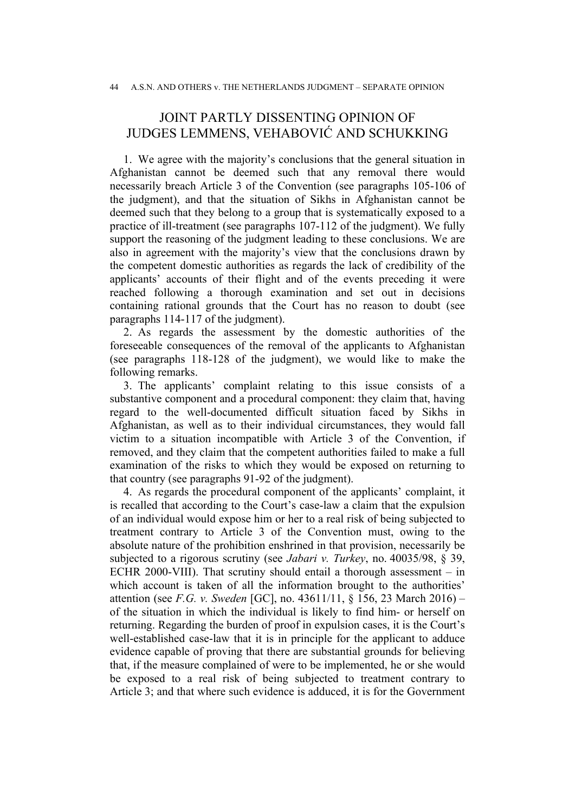# JOINT PARTLY DISSENTING OPINION OF JUDGES LEMMENS, VEHABOVIĆ AND SCHUKKING

1. We agree with the majority's conclusions that the general situation in Afghanistan cannot be deemed such that any removal there would necessarily breach Article 3 of the Convention (see paragraphs 105-106 of the judgment), and that the situation of Sikhs in Afghanistan cannot be deemed such that they belong to a group that is systematically exposed to a practice of ill-treatment (see paragraphs 107-112 of the judgment). We fully support the reasoning of the judgment leading to these conclusions. We are also in agreement with the majority's view that the conclusions drawn by the competent domestic authorities as regards the lack of credibility of the applicants' accounts of their flight and of the events preceding it were reached following a thorough examination and set out in decisions containing rational grounds that the Court has no reason to doubt (see paragraphs 114-117 of the judgment).

2. As regards the assessment by the domestic authorities of the foreseeable consequences of the removal of the applicants to Afghanistan (see paragraphs 118-128 of the judgment), we would like to make the following remarks.

3. The applicants' complaint relating to this issue consists of a substantive component and a procedural component: they claim that, having regard to the well-documented difficult situation faced by Sikhs in Afghanistan, as well as to their individual circumstances, they would fall victim to a situation incompatible with Article 3 of the Convention, if removed, and they claim that the competent authorities failed to make a full examination of the risks to which they would be exposed on returning to that country (see paragraphs 91-92 of the judgment).

4. As regards the procedural component of the applicants' complaint, it is recalled that according to the Court's case-law a claim that the expulsion of an individual would expose him or her to a real risk of being subjected to treatment contrary to Article 3 of the Convention must, owing to the absolute nature of the prohibition enshrined in that provision, necessarily be subjected to a rigorous scrutiny (see *Jabari v. Turkey*, no. 40035/98, § 39, ECHR 2000-VIII). That scrutiny should entail a thorough assessment  $-$  in which account is taken of all the information brought to the authorities' attention (see *F.G. v. Sweden* [GC], no. 43611/11, § 156, 23 March 2016) – of the situation in which the individual is likely to find him- or herself on returning. Regarding the burden of proof in expulsion cases, it is the Court's well-established case-law that it is in principle for the applicant to adduce evidence capable of proving that there are substantial grounds for believing that, if the measure complained of were to be implemented, he or she would be exposed to a real risk of being subjected to treatment contrary to Article 3; and that where such evidence is adduced, it is for the Government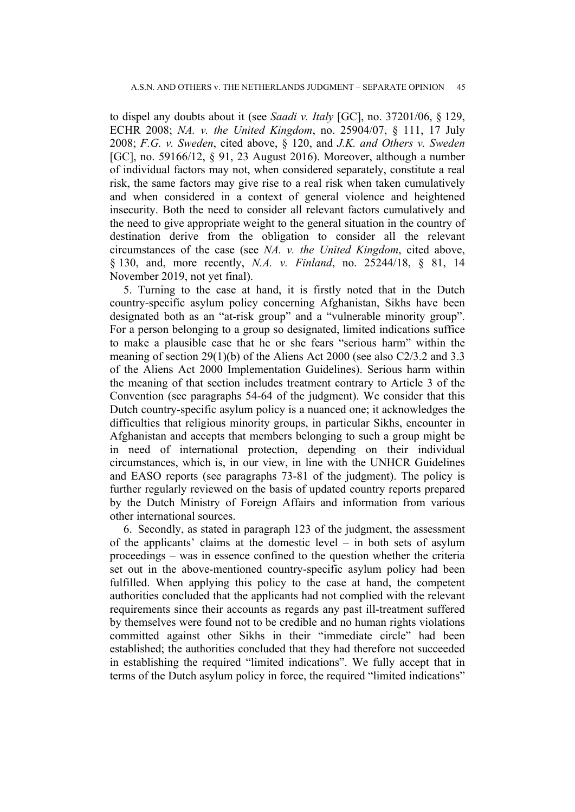to dispel any doubts about it (see *Saadi v. Italy* [GC], no. 37201/06, § 129, ECHR 2008; *NA. v. the United Kingdom*, no. 25904/07, § 111, 17 July 2008; *F.G. v. Sweden*, cited above, § 120, and *J.K. and Others v. Sweden* [GC], no. 59166/12, § 91, 23 August 2016). Moreover, although a number of individual factors may not, when considered separately, constitute a real risk, the same factors may give rise to a real risk when taken cumulatively and when considered in a context of general violence and heightened insecurity. Both the need to consider all relevant factors cumulatively and the need to give appropriate weight to the general situation in the country of destination derive from the obligation to consider all the relevant circumstances of the case (see *NA. v. the United Kingdom*, cited above, § 130, and, more recently, *N.A. v. Finland*, no. 25244/18, § 81, 14 November 2019, not yet final).

5. Turning to the case at hand, it is firstly noted that in the Dutch country-specific asylum policy concerning Afghanistan, Sikhs have been designated both as an "at-risk group" and a "vulnerable minority group". For a person belonging to a group so designated, limited indications suffice to make a plausible case that he or she fears "serious harm" within the meaning of section 29(1)(b) of the Aliens Act 2000 (see also C2/3.2 and 3.3 of the Aliens Act 2000 Implementation Guidelines). Serious harm within the meaning of that section includes treatment contrary to Article 3 of the Convention (see paragraphs 54-64 of the judgment). We consider that this Dutch country-specific asylum policy is a nuanced one; it acknowledges the difficulties that religious minority groups, in particular Sikhs, encounter in Afghanistan and accepts that members belonging to such a group might be in need of international protection, depending on their individual circumstances, which is, in our view, in line with the UNHCR Guidelines and EASO reports (see paragraphs 73-81 of the judgment). The policy is further regularly reviewed on the basis of updated country reports prepared by the Dutch Ministry of Foreign Affairs and information from various other international sources.

6. Secondly, as stated in paragraph 123 of the judgment, the assessment of the applicants' claims at the domestic level – in both sets of asylum proceedings – was in essence confined to the question whether the criteria set out in the above-mentioned country-specific asylum policy had been fulfilled. When applying this policy to the case at hand, the competent authorities concluded that the applicants had not complied with the relevant requirements since their accounts as regards any past ill-treatment suffered by themselves were found not to be credible and no human rights violations committed against other Sikhs in their "immediate circle" had been established; the authorities concluded that they had therefore not succeeded in establishing the required "limited indications". We fully accept that in terms of the Dutch asylum policy in force, the required "limited indications"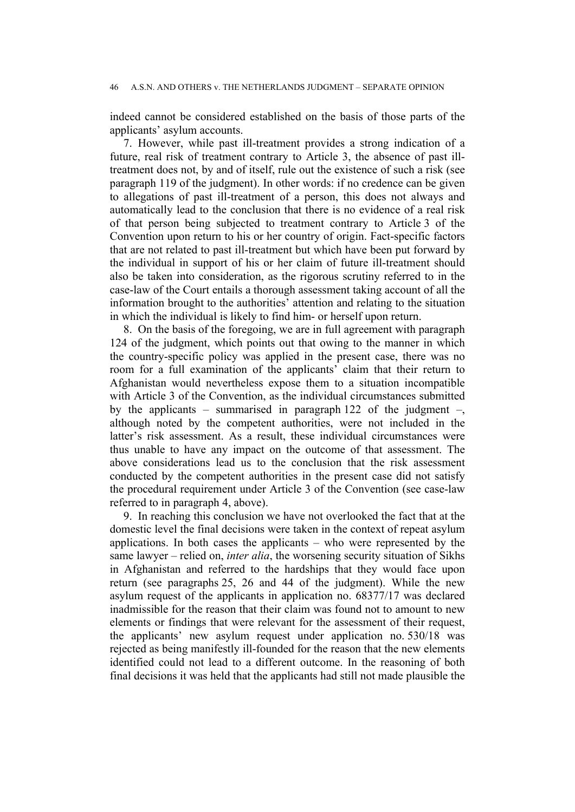indeed cannot be considered established on the basis of those parts of the applicants' asylum accounts.

7. However, while past ill-treatment provides a strong indication of a future, real risk of treatment contrary to Article 3, the absence of past illtreatment does not, by and of itself, rule out the existence of such a risk (see paragraph 119 of the judgment). In other words: if no credence can be given to allegations of past ill-treatment of a person, this does not always and automatically lead to the conclusion that there is no evidence of a real risk of that person being subjected to treatment contrary to Article 3 of the Convention upon return to his or her country of origin. Fact-specific factors that are not related to past ill-treatment but which have been put forward by the individual in support of his or her claim of future ill-treatment should also be taken into consideration, as the rigorous scrutiny referred to in the case-law of the Court entails a thorough assessment taking account of all the information brought to the authorities' attention and relating to the situation in which the individual is likely to find him- or herself upon return.

8. On the basis of the foregoing, we are in full agreement with paragraph 124 of the judgment, which points out that owing to the manner in which the country-specific policy was applied in the present case, there was no room for a full examination of the applicants' claim that their return to Afghanistan would nevertheless expose them to a situation incompatible with Article 3 of the Convention, as the individual circumstances submitted by the applicants – summarised in paragraph 122 of the judgment –, although noted by the competent authorities, were not included in the latter's risk assessment. As a result, these individual circumstances were thus unable to have any impact on the outcome of that assessment. The above considerations lead us to the conclusion that the risk assessment conducted by the competent authorities in the present case did not satisfy the procedural requirement under Article 3 of the Convention (see case-law referred to in paragraph 4, above).

9. In reaching this conclusion we have not overlooked the fact that at the domestic level the final decisions were taken in the context of repeat asylum applications. In both cases the applicants – who were represented by the same lawyer – relied on, *inter alia*, the worsening security situation of Sikhs in Afghanistan and referred to the hardships that they would face upon return (see paragraphs 25, 26 and 44 of the judgment). While the new asylum request of the applicants in application no. 68377/17 was declared inadmissible for the reason that their claim was found not to amount to new elements or findings that were relevant for the assessment of their request, the applicants' new asylum request under application no. 530/18 was rejected as being manifestly ill-founded for the reason that the new elements identified could not lead to a different outcome. In the reasoning of both final decisions it was held that the applicants had still not made plausible the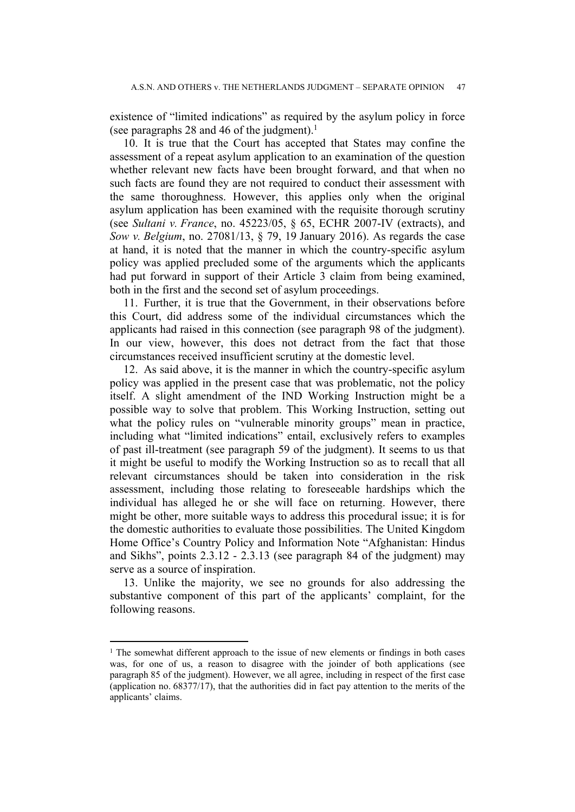existence of "limited indications" as required by the asylum policy in force (see paragraphs 28 and 46 of the judgment).<sup>1</sup>

10. It is true that the Court has accepted that States may confine the assessment of a repeat asylum application to an examination of the question whether relevant new facts have been brought forward, and that when no such facts are found they are not required to conduct their assessment with the same thoroughness. However, this applies only when the original asylum application has been examined with the requisite thorough scrutiny (see *Sultani v. France*, no. 45223/05, § 65, ECHR 2007-IV (extracts), and *Sow v. Belgium*, no. 27081/13, § 79, 19 January 2016). As regards the case at hand, it is noted that the manner in which the country-specific asylum policy was applied precluded some of the arguments which the applicants had put forward in support of their Article 3 claim from being examined, both in the first and the second set of asylum proceedings.

11. Further, it is true that the Government, in their observations before this Court, did address some of the individual circumstances which the applicants had raised in this connection (see paragraph 98 of the judgment). In our view, however, this does not detract from the fact that those circumstances received insufficient scrutiny at the domestic level.

12. As said above, it is the manner in which the country-specific asylum policy was applied in the present case that was problematic, not the policy itself. A slight amendment of the IND Working Instruction might be a possible way to solve that problem. This Working Instruction, setting out what the policy rules on "vulnerable minority groups" mean in practice, including what "limited indications" entail, exclusively refers to examples of past ill-treatment (see paragraph 59 of the judgment). It seems to us that it might be useful to modify the Working Instruction so as to recall that all relevant circumstances should be taken into consideration in the risk assessment, including those relating to foreseeable hardships which the individual has alleged he or she will face on returning. However, there might be other, more suitable ways to address this procedural issue; it is for the domestic authorities to evaluate those possibilities. The United Kingdom Home Office's Country Policy and Information Note "Afghanistan: Hindus and Sikhs", points 2.3.12 - 2.3.13 (see paragraph 84 of the judgment) may serve as a source of inspiration.

13. Unlike the majority, we see no grounds for also addressing the substantive component of this part of the applicants' complaint, for the following reasons.

<sup>&</sup>lt;sup>1</sup> The somewhat different approach to the issue of new elements or findings in both cases was, for one of us, a reason to disagree with the joinder of both applications (see paragraph 85 of the judgment). However, we all agree, including in respect of the first case (application no. 68377/17), that the authorities did in fact pay attention to the merits of the applicants' claims.